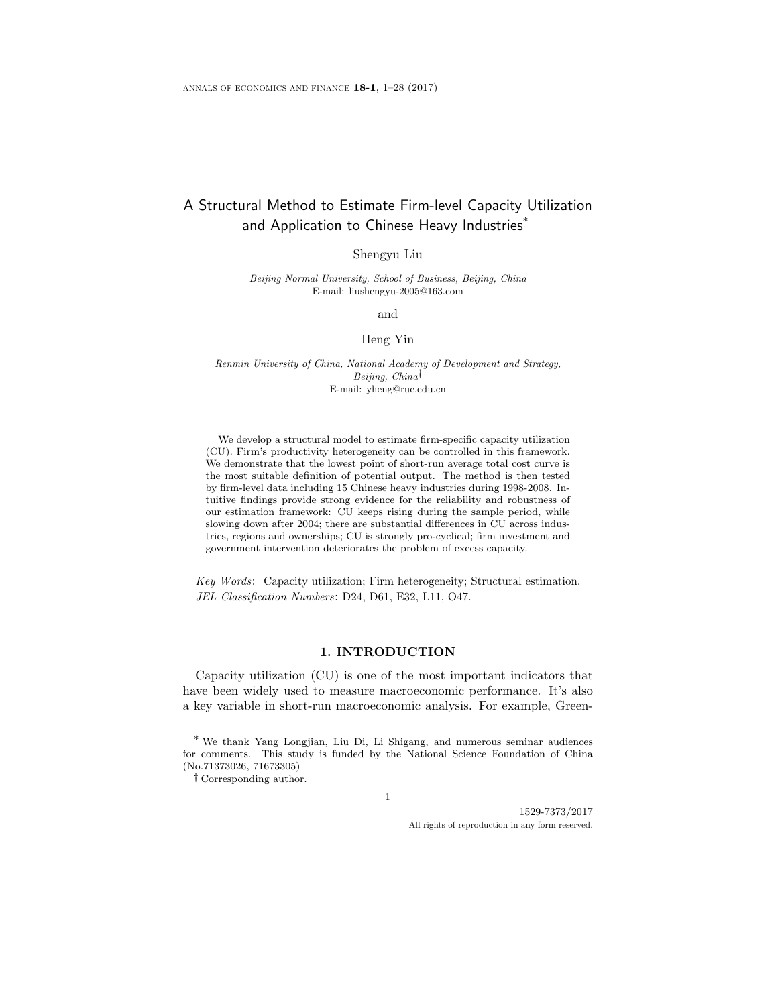# A Structural Method to Estimate Firm-level Capacity Utilization and Application to Chinese Heavy Industries\*

Shengyu Liu

Beijing Normal University, School of Business, Beijing, China E-mail: liushengyu-2005@163.com

and

### Heng Yin

Renmin University of China, National Academy of Development and Strategy, Beijing, China† E-mail: yheng@ruc.edu.cn

We develop a structural model to estimate firm-specific capacity utilization (CU). Firm's productivity heterogeneity can be controlled in this framework. We demonstrate that the lowest point of short-run average total cost curve is the most suitable definition of potential output. The method is then tested by firm-level data including 15 Chinese heavy industries during 1998-2008. Intuitive findings provide strong evidence for the reliability and robustness of our estimation framework: CU keeps rising during the sample period, while slowing down after 2004; there are substantial differences in CU across industries, regions and ownerships; CU is strongly pro-cyclical; firm investment and government intervention deteriorates the problem of excess capacity.

Key Words: Capacity utilization; Firm heterogeneity; Structural estimation. JEL Classification Numbers: D24, D61, E32, L11, O47.

# 1. INTRODUCTION

Capacity utilization (CU) is one of the most important indicators that have been widely used to measure macroeconomic performance. It's also a key variable in short-run macroeconomic analysis. For example, Green-

1

† Corresponding author.

1529-7373/2017 All rights of reproduction in any form reserved.

<sup>\*</sup> We thank Yang Longjian, Liu Di, Li Shigang, and numerous seminar audiences for comments. This study is funded by the National Science Foundation of China (No.71373026, 71673305)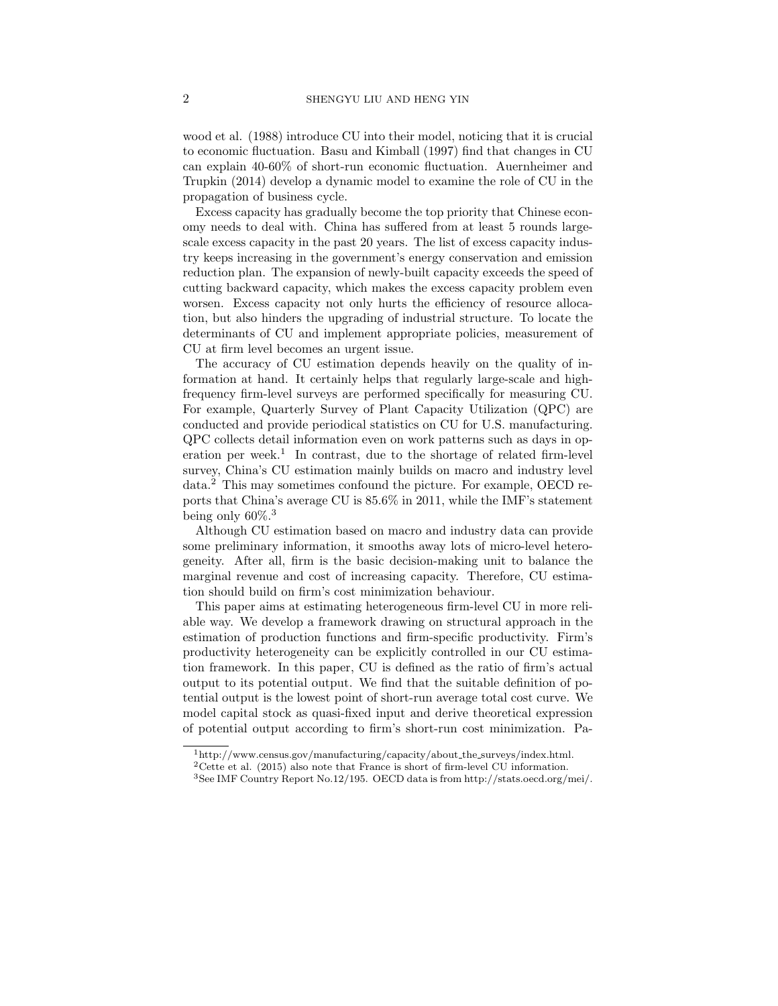wood et al. (1988) introduce CU into their model, noticing that it is crucial to economic fluctuation. Basu and Kimball (1997) find that changes in CU can explain 40-60% of short-run economic fluctuation. Auernheimer and Trupkin (2014) develop a dynamic model to examine the role of CU in the propagation of business cycle.

Excess capacity has gradually become the top priority that Chinese economy needs to deal with. China has suffered from at least 5 rounds largescale excess capacity in the past 20 years. The list of excess capacity industry keeps increasing in the government's energy conservation and emission reduction plan. The expansion of newly-built capacity exceeds the speed of cutting backward capacity, which makes the excess capacity problem even worsen. Excess capacity not only hurts the efficiency of resource allocation, but also hinders the upgrading of industrial structure. To locate the determinants of CU and implement appropriate policies, measurement of CU at firm level becomes an urgent issue.

The accuracy of CU estimation depends heavily on the quality of information at hand. It certainly helps that regularly large-scale and highfrequency firm-level surveys are performed specifically for measuring CU. For example, Quarterly Survey of Plant Capacity Utilization (QPC) are conducted and provide periodical statistics on CU for U.S. manufacturing. QPC collects detail information even on work patterns such as days in operation per week.<sup>1</sup> In contrast, due to the shortage of related firm-level survey, China's CU estimation mainly builds on macro and industry level data.<sup>2</sup> This may sometimes confound the picture. For example, OECD reports that China's average CU is 85.6% in 2011, while the IMF's statement being only 60%.<sup>3</sup>

Although CU estimation based on macro and industry data can provide some preliminary information, it smooths away lots of micro-level heterogeneity. After all, firm is the basic decision-making unit to balance the marginal revenue and cost of increasing capacity. Therefore, CU estimation should build on firm's cost minimization behaviour.

This paper aims at estimating heterogeneous firm-level CU in more reliable way. We develop a framework drawing on structural approach in the estimation of production functions and firm-specific productivity. Firm's productivity heterogeneity can be explicitly controlled in our CU estimation framework. In this paper, CU is defined as the ratio of firm's actual output to its potential output. We find that the suitable definition of potential output is the lowest point of short-run average total cost curve. We model capital stock as quasi-fixed input and derive theoretical expression of potential output according to firm's short-run cost minimization. Pa-

<sup>1</sup>http://www.census.gov/manufacturing/capacity/about the surveys/index.html.

<sup>2</sup>Cette et al. (2015) also note that France is short of firm-level CU information.

<sup>3</sup>See IMF Country Report No.12/195. OECD data is from http://stats.oecd.org/mei/.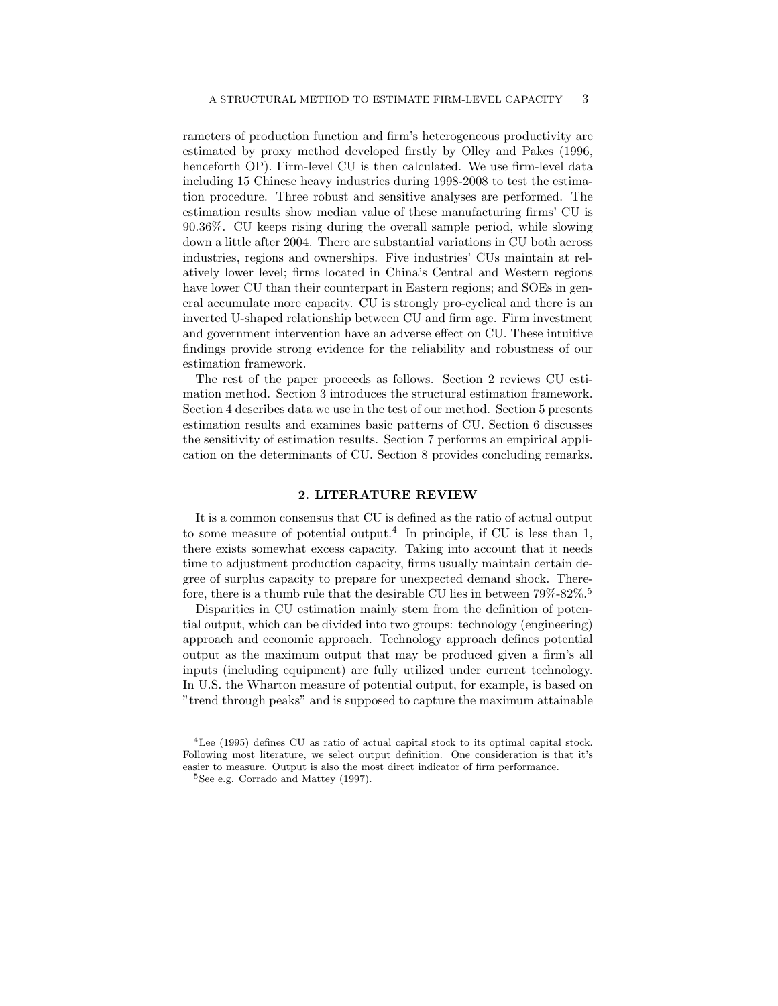rameters of production function and firm's heterogeneous productivity are estimated by proxy method developed firstly by Olley and Pakes (1996, henceforth OP). Firm-level CU is then calculated. We use firm-level data including 15 Chinese heavy industries during 1998-2008 to test the estimation procedure. Three robust and sensitive analyses are performed. The estimation results show median value of these manufacturing firms' CU is 90.36%. CU keeps rising during the overall sample period, while slowing down a little after 2004. There are substantial variations in CU both across industries, regions and ownerships. Five industries' CUs maintain at relatively lower level; firms located in China's Central and Western regions have lower CU than their counterpart in Eastern regions; and SOEs in general accumulate more capacity. CU is strongly pro-cyclical and there is an inverted U-shaped relationship between CU and firm age. Firm investment and government intervention have an adverse effect on CU. These intuitive findings provide strong evidence for the reliability and robustness of our estimation framework.

The rest of the paper proceeds as follows. Section 2 reviews CU estimation method. Section 3 introduces the structural estimation framework. Section 4 describes data we use in the test of our method. Section 5 presents estimation results and examines basic patterns of CU. Section 6 discusses the sensitivity of estimation results. Section 7 performs an empirical application on the determinants of CU. Section 8 provides concluding remarks.

### 2. LITERATURE REVIEW

It is a common consensus that CU is defined as the ratio of actual output to some measure of potential output.<sup>4</sup> In principle, if CU is less than 1, there exists somewhat excess capacity. Taking into account that it needs time to adjustment production capacity, firms usually maintain certain degree of surplus capacity to prepare for unexpected demand shock. Therefore, there is a thumb rule that the desirable CU lies in between  $79\%$ -82%.<sup>5</sup>

Disparities in CU estimation mainly stem from the definition of potential output, which can be divided into two groups: technology (engineering) approach and economic approach. Technology approach defines potential output as the maximum output that may be produced given a firm's all inputs (including equipment) are fully utilized under current technology. In U.S. the Wharton measure of potential output, for example, is based on "trend through peaks" and is supposed to capture the maximum attainable

<sup>4</sup>Lee (1995) defines CU as ratio of actual capital stock to its optimal capital stock. Following most literature, we select output definition. One consideration is that it's easier to measure. Output is also the most direct indicator of firm performance.

<sup>&</sup>lt;sup>5</sup>See e.g. Corrado and Mattey (1997).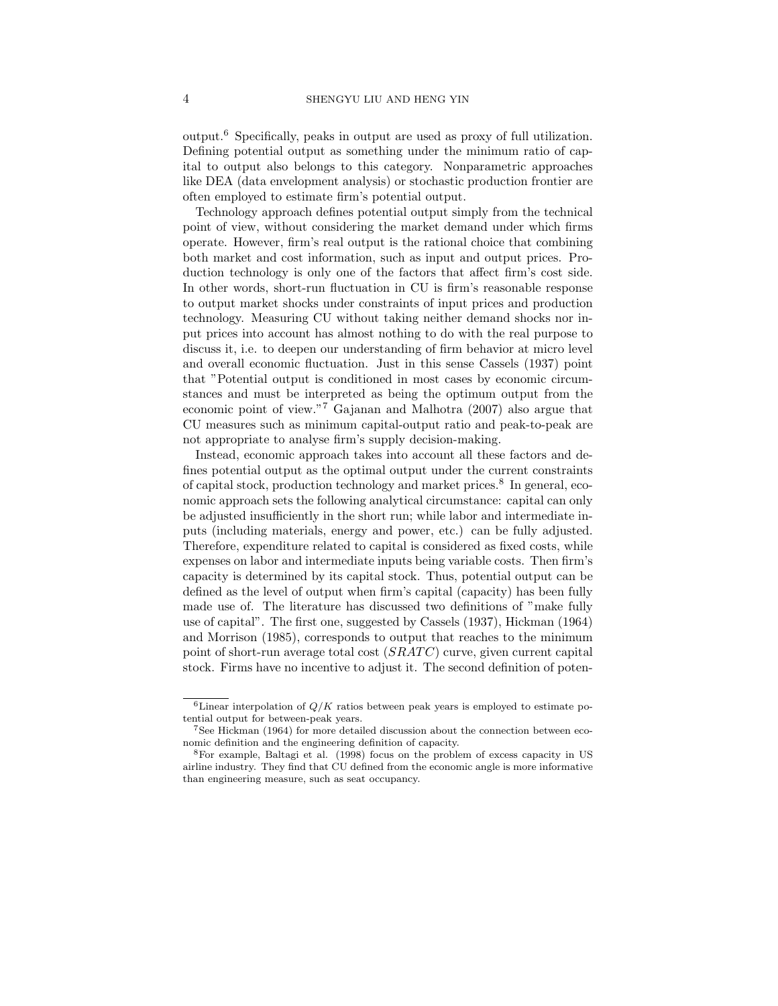output.<sup>6</sup> Specifically, peaks in output are used as proxy of full utilization. Defining potential output as something under the minimum ratio of capital to output also belongs to this category. Nonparametric approaches like DEA (data envelopment analysis) or stochastic production frontier are often employed to estimate firm's potential output.

Technology approach defines potential output simply from the technical point of view, without considering the market demand under which firms operate. However, firm's real output is the rational choice that combining both market and cost information, such as input and output prices. Production technology is only one of the factors that affect firm's cost side. In other words, short-run fluctuation in CU is firm's reasonable response to output market shocks under constraints of input prices and production technology. Measuring CU without taking neither demand shocks nor input prices into account has almost nothing to do with the real purpose to discuss it, i.e. to deepen our understanding of firm behavior at micro level and overall economic fluctuation. Just in this sense Cassels (1937) point that "Potential output is conditioned in most cases by economic circumstances and must be interpreted as being the optimum output from the economic point of view."<sup>7</sup> Gajanan and Malhotra (2007) also argue that CU measures such as minimum capital-output ratio and peak-to-peak are not appropriate to analyse firm's supply decision-making.

Instead, economic approach takes into account all these factors and defines potential output as the optimal output under the current constraints of capital stock, production technology and market prices.<sup>8</sup> In general, economic approach sets the following analytical circumstance: capital can only be adjusted insufficiently in the short run; while labor and intermediate inputs (including materials, energy and power, etc.) can be fully adjusted. Therefore, expenditure related to capital is considered as fixed costs, while expenses on labor and intermediate inputs being variable costs. Then firm's capacity is determined by its capital stock. Thus, potential output can be defined as the level of output when firm's capital (capacity) has been fully made use of. The literature has discussed two definitions of "make fully use of capital". The first one, suggested by Cassels (1937), Hickman (1964) and Morrison (1985), corresponds to output that reaches to the minimum point of short-run average total cost  $(SRATC)$  curve, given current capital stock. Firms have no incentive to adjust it. The second definition of poten-

<sup>&</sup>lt;sup>6</sup>Linear interpolation of  $Q/K$  ratios between peak years is employed to estimate potential output for between-peak years.

<sup>7</sup>See Hickman (1964) for more detailed discussion about the connection between economic definition and the engineering definition of capacity.

<sup>8</sup>For example, Baltagi et al. (1998) focus on the problem of excess capacity in US airline industry. They find that CU defined from the economic angle is more informative than engineering measure, such as seat occupancy.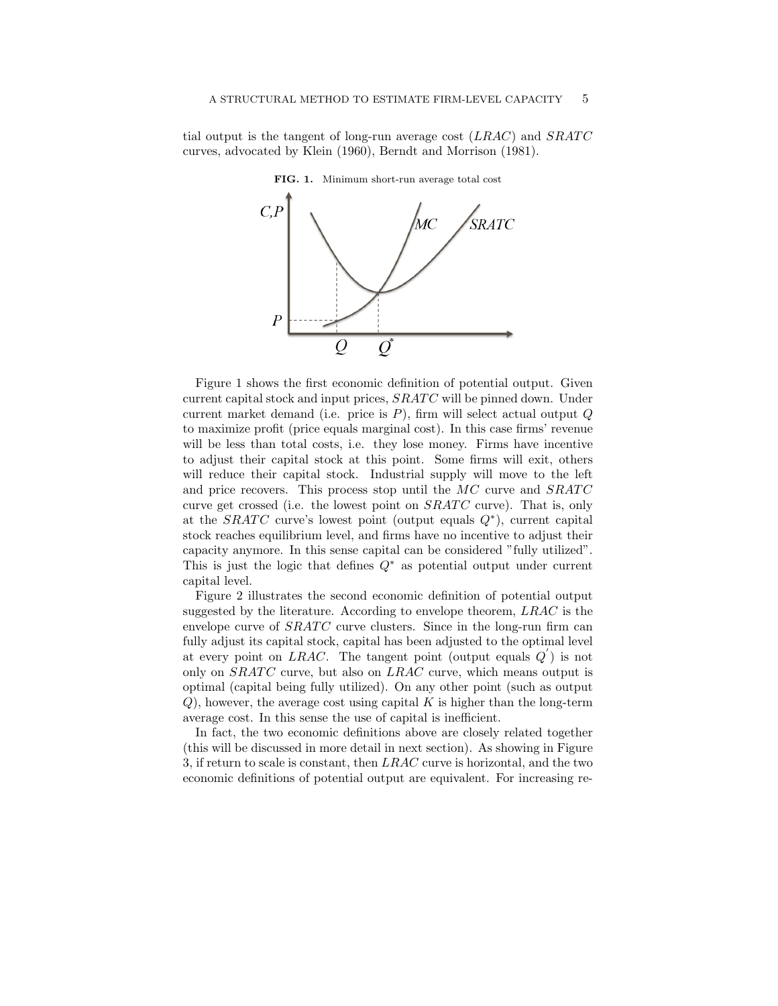tial output is the tangent of long-run average cost  $(LRAC)$  and  $SRATC$ curves, advocated by Klein (1960), Berndt and Morrison (1981).



FIG. 1. Minimum short-run average total cost

current capital stock and input prices,  $SRATC$  will be pinned down. Under Figure 1 shows the first economic definition of potential output. Given current market demand (i.e. price is  $P$ ), firm will select actual output  $Q$ to maximize profit (price equals marginal cost). In this case firms' revenue will be less than total costs, i.e. they lose money. Firms have incentive to adjust their capital stock at this point. Some firms will exit, others will reduce their capital stock. Industrial supply will move to the left and price recovers. This process stop until the  $MC$  curve and  $SRATC$ curve get crossed (i.e. the lowest point on  $SRATC$  curve). That is, only at the SRATC curve's lowest point (output equals  $Q^*$ ), current capital stock reaches equilibrium level, and firms have no incentive to adjust their capacity anymore. In this sense capital can be considered "fully utilized". This is just the logic that defines  $Q^*$  as potential output under current capital level.

fully adjust its capital stock, capital has been adjusted to the optimal level Figure 2 illustrates the second economic definition of potential output suggested by the literature. According to envelope theorem, LRAC is the envelope curve of  $SRATC$  curve clusters. Since in the long-run firm can at every point on LRAC. The tangent point (output equals  $Q'$ ) is not only on  $SRACTC$  curve, but also on  $LRAC$  curve, which means output is optimal (capital being fully utilized). On any other point (such as output  $Q$ ), however, the average cost using capital K is higher than the long-term average cost. In this sense the use of capital is inefficient.

> In fact, the two economic definitions above are closely related together (this will be discussed in more detail in next section). As showing in Figure 3, if return to scale is constant, then LRAC curve is horizontal, and the two economic definitions of potential output are equivalent. For increasing re-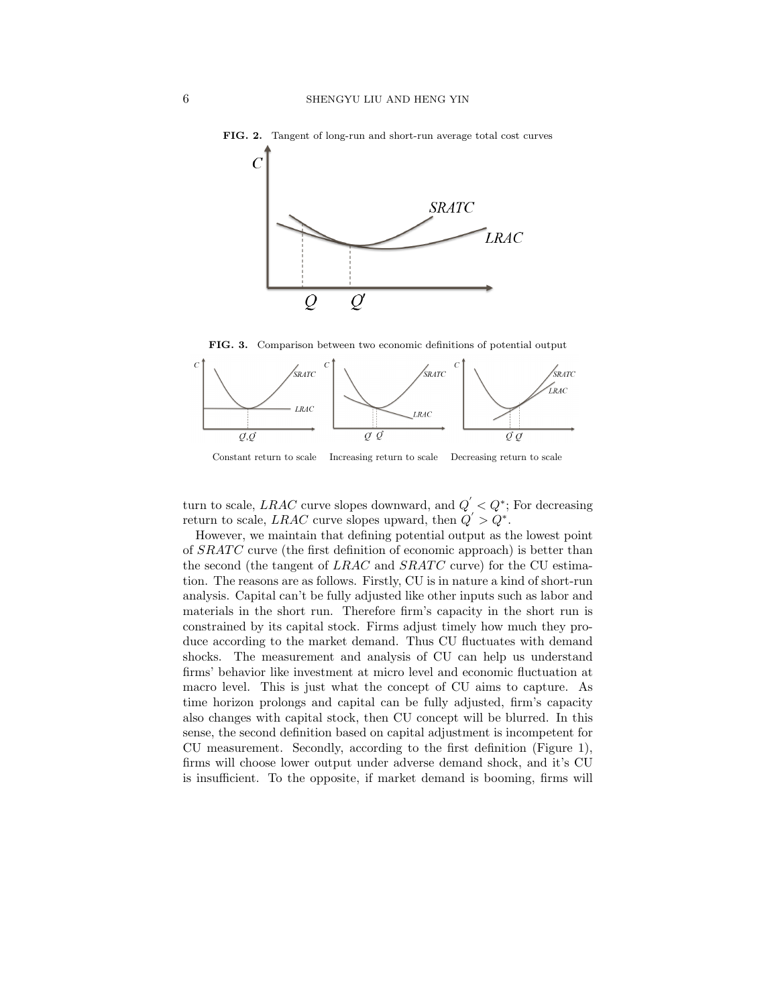

FIG. 2. Tangent of long-run and short-run average total cost curves





Constant return to scale Increasing return to scale Decreasing return to scale

turn to scale, *LRAC* curve slopes downward, and  $Q' < Q^*$ ; For decreasing return to scale, LRAC curve slopes upward, then  $Q' > Q^*$ .

analysis. Capital can't be fully adjusted like other inputs such as labor and tion. The reasons are as follows. Firstly, CU is in nature a kind of short-run However, we maintain that defining potential output as the lowest point of  $SRATC$  curve (the first definition of economic approach) is better than the second (the tangent of  $LRAC$  and  $SRATC$  curve) for the CU estimamaterials in the short run. Therefore firm's capacity in the short run is constrained by its capital stock. Firms adjust timely how much they produce according to the market demand. Thus CU fluctuates with demand shocks. The measurement and analysis of CU can help us understand firms' behavior like investment at micro level and economic fluctuation at macro level. This is just what the concept of CU aims to capture. As time horizon prolongs and capital can be fully adjusted, firm's capacity also changes with capital stock, then CU concept will be blurred. In this sense, the second definition based on capital adjustment is incompetent for CU measurement. Secondly, according to the first definition (Figure 1), firms will choose lower output under adverse demand shock, and it's CU is insufficient. To the opposite, if market demand is booming, firms will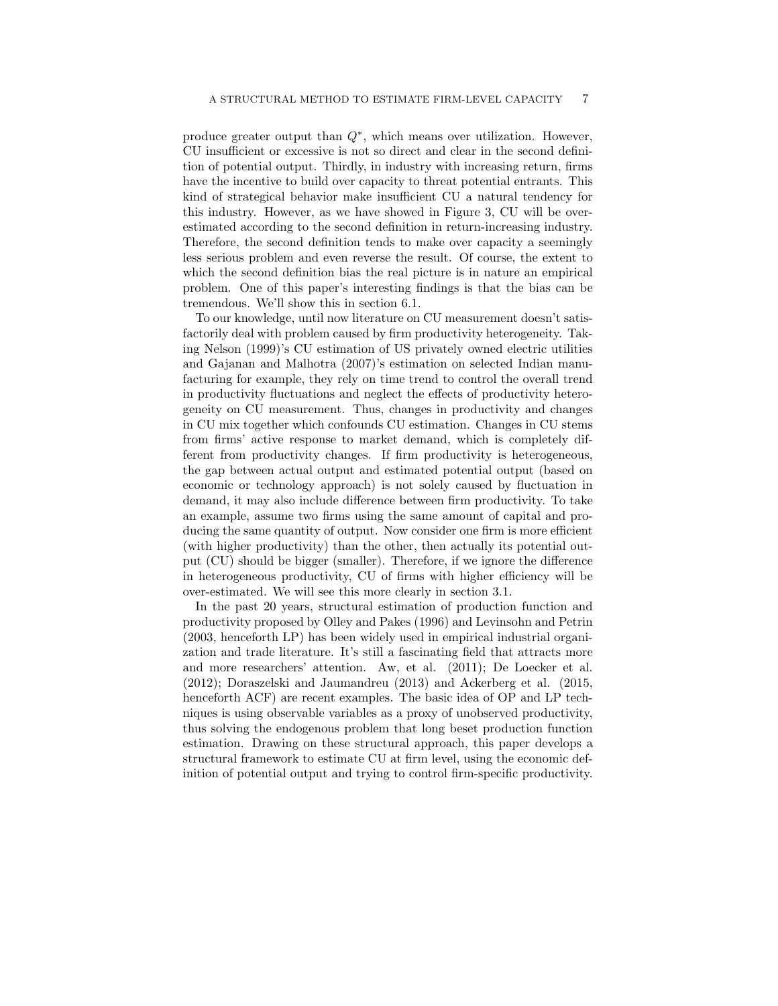produce greater output than  $Q^*$ , which means over utilization. However, CU insufficient or excessive is not so direct and clear in the second definition of potential output. Thirdly, in industry with increasing return, firms have the incentive to build over capacity to threat potential entrants. This kind of strategical behavior make insufficient CU a natural tendency for this industry. However, as we have showed in Figure 3, CU will be overestimated according to the second definition in return-increasing industry. Therefore, the second definition tends to make over capacity a seemingly less serious problem and even reverse the result. Of course, the extent to which the second definition bias the real picture is in nature an empirical problem. One of this paper's interesting findings is that the bias can be tremendous. We'll show this in section 6.1.

To our knowledge, until now literature on CU measurement doesn't satisfactorily deal with problem caused by firm productivity heterogeneity. Taking Nelson (1999)'s CU estimation of US privately owned electric utilities and Gajanan and Malhotra (2007)'s estimation on selected Indian manufacturing for example, they rely on time trend to control the overall trend in productivity fluctuations and neglect the effects of productivity heterogeneity on CU measurement. Thus, changes in productivity and changes in CU mix together which confounds CU estimation. Changes in CU stems from firms' active response to market demand, which is completely different from productivity changes. If firm productivity is heterogeneous, the gap between actual output and estimated potential output (based on economic or technology approach) is not solely caused by fluctuation in demand, it may also include difference between firm productivity. To take an example, assume two firms using the same amount of capital and producing the same quantity of output. Now consider one firm is more efficient (with higher productivity) than the other, then actually its potential output (CU) should be bigger (smaller). Therefore, if we ignore the difference in heterogeneous productivity, CU of firms with higher efficiency will be over-estimated. We will see this more clearly in section 3.1.

In the past 20 years, structural estimation of production function and productivity proposed by Olley and Pakes (1996) and Levinsohn and Petrin (2003, henceforth LP) has been widely used in empirical industrial organization and trade literature. It's still a fascinating field that attracts more and more researchers' attention. Aw, et al. (2011); De Loecker et al. (2012); Doraszelski and Jaumandreu (2013) and Ackerberg et al. (2015, henceforth ACF) are recent examples. The basic idea of OP and LP techniques is using observable variables as a proxy of unobserved productivity, thus solving the endogenous problem that long beset production function estimation. Drawing on these structural approach, this paper develops a structural framework to estimate CU at firm level, using the economic definition of potential output and trying to control firm-specific productivity.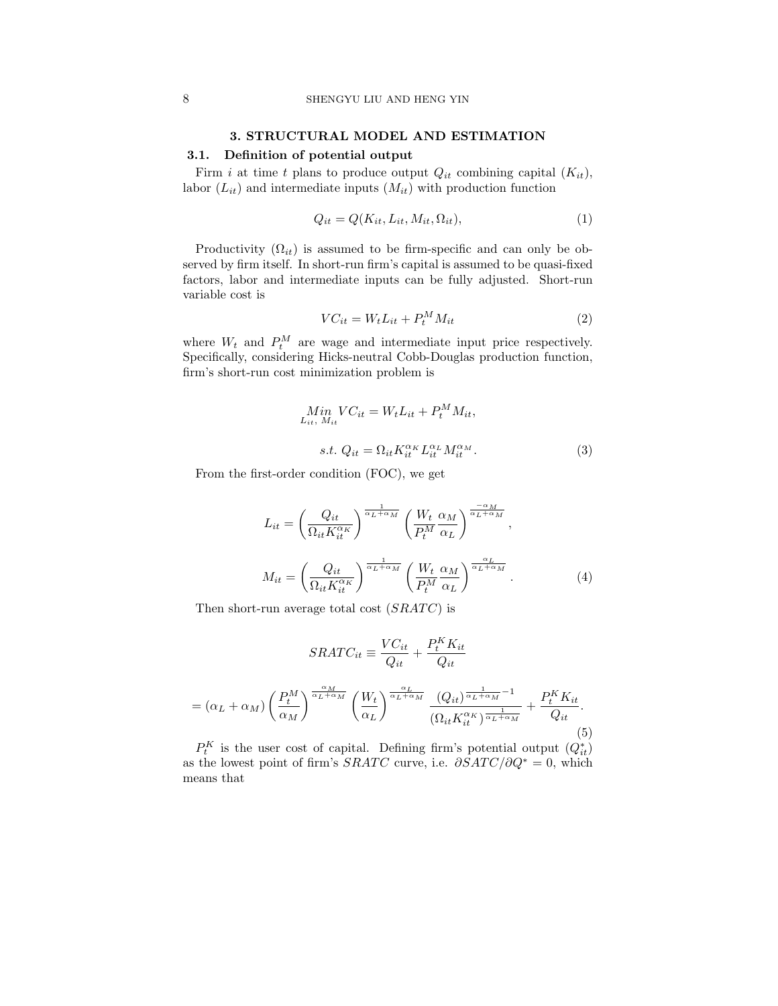# 3. STRUCTURAL MODEL AND ESTIMATION

# 3.1. Definition of potential output

Firm i at time t plans to produce output  $Q_{it}$  combining capital  $(K_{it})$ , labor  $(L_{it})$  and intermediate inputs  $(M_{it})$  with production function

$$
Q_{it} = Q(K_{it}, L_{it}, M_{it}, \Omega_{it}),
$$
\n<sup>(1)</sup>

Productivity  $(\Omega_{it})$  is assumed to be firm-specific and can only be observed by firm itself. In short-run firm's capital is assumed to be quasi-fixed factors, labor and intermediate inputs can be fully adjusted. Short-run variable cost is

$$
VC_{it} = W_t L_{it} + P_t^M M_{it} \tag{2}
$$

where  $W_t$  and  $P_t^M$  are wage and intermediate input price respectively. Specifically, considering Hicks-neutral Cobb-Douglas production function, firm's short-run cost minimization problem is

$$
\begin{aligned} \underset{L_{it}}{Min} \quad & VC_{it} = W_t L_{it} + P_t^M M_{it}, \\ s.t. \ Q_{it} = \Omega_{it} K_{it}^{\alpha_K} L_{it}^{\alpha_L} M_{it}^{\alpha_M}. \end{aligned} \tag{3}
$$

From the first-order condition (FOC), we get

$$
L_{it} = \left(\frac{Q_{it}}{\Omega_{it} K_{it}^{\alpha_K}}\right)^{\frac{1}{\alpha_L + \alpha_M}} \left(\frac{W_t}{P_t^M} \frac{\alpha_M}{\alpha_L}\right)^{\frac{-\alpha_M}{\alpha_L + \alpha_M}},
$$
  

$$
M_{it} = \left(\frac{Q_{it}}{\Omega_{it} K_{it}^{\alpha_K}}\right)^{\frac{1}{\alpha_L + \alpha_M}} \left(\frac{W_t}{P_t^M} \frac{\alpha_M}{\alpha_L}\right)^{\frac{\alpha_L}{\alpha_L + \alpha_M}}.
$$
 (4)

Then short-run average total cost  $(SRATC)$  is

$$
SRATC_{it} \equiv \frac{VC_{it}}{Q_{it}} + \frac{P_t^K K_{it}}{Q_{it}}
$$

$$
= (\alpha_L + \alpha_M) \left(\frac{P_t^M}{\alpha_M}\right)^{\frac{\alpha_M}{\alpha_L + \alpha_M}} \left(\frac{W_t}{\alpha_L}\right)^{\frac{\alpha_L}{\alpha_L + \alpha_M}} \frac{(Q_{it})^{\frac{1}{\alpha_L + \alpha_M} - 1}}{(Q_{it} K_{it}^{\alpha_K})^{\frac{1}{\alpha_L + \alpha_M}}} + \frac{P_t^K K_{it}}{Q_{it}}.
$$

$$
(5)
$$

 $P_t^K$  is the user cost of capital. Defining firm's potential output  $(Q_{it}^*)$ as the lowest point of firm's  $SRATC$  curve, i.e.  $\partial SAT C/\partial Q^* = 0$ , which means that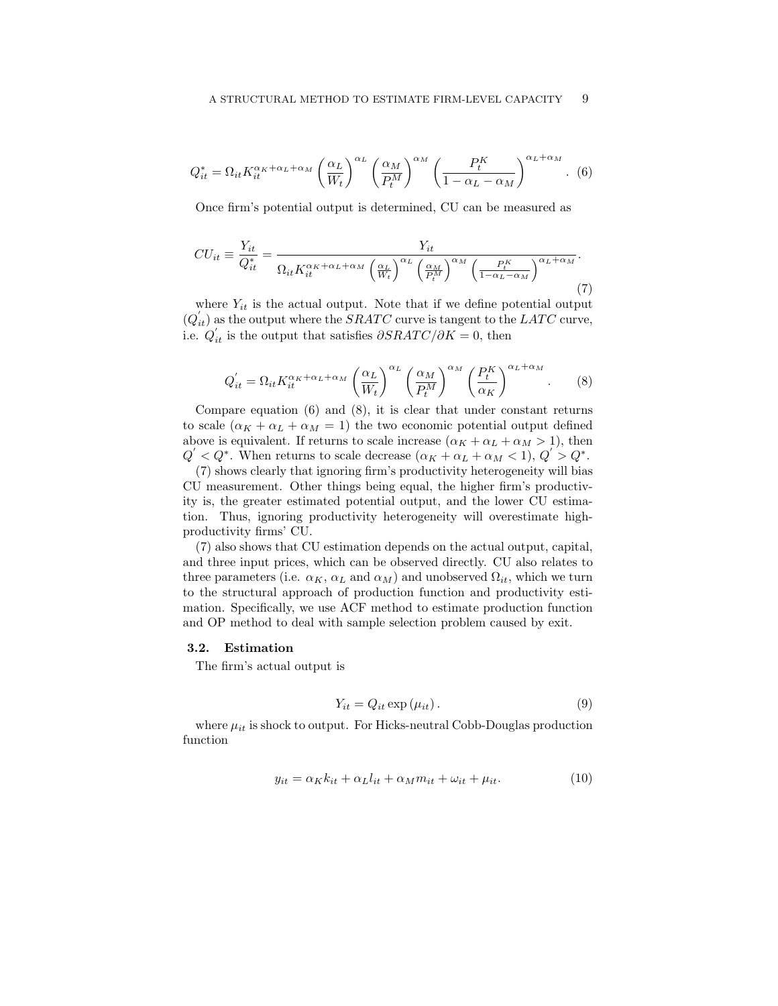$$
Q_{it}^{*} = \Omega_{it} K_{it}^{\alpha_K + \alpha_L + \alpha_M} \left(\frac{\alpha_L}{W_t}\right)^{\alpha_L} \left(\frac{\alpha_M}{P_t^M}\right)^{\alpha_M} \left(\frac{P_t^K}{1 - \alpha_L - \alpha_M}\right)^{\alpha_L + \alpha_M}.
$$
 (6)

Once firm's potential output is determined, CU can be measured as

$$
CU_{it} \equiv \frac{Y_{it}}{Q_{it}^*} = \frac{Y_{it}}{\Omega_{it} K_{it}^{\alpha_K + \alpha_L + \alpha_M} \left(\frac{\alpha_L}{W_t}\right)^{\alpha_L} \left(\frac{\alpha_M}{P_t^M}\right)^{\alpha_M} \left(\frac{P_t^K}{1 - \alpha_L - \alpha_M}\right)^{\alpha_L + \alpha_M}}.
$$
\n(7)

where  $Y_{it}$  is the actual output. Note that if we define potential output  $(Q_{it}^{'} )$  as the output where the SRATC curve is tangent to the LATC curve, i.e.  $Q'_{it}$  is the output that satisfies  $\partial SRATC/\partial K = 0$ , then

$$
Q'_{it} = \Omega_{it} K_{it}^{\alpha_K + \alpha_L + \alpha_M} \left(\frac{\alpha_L}{W_t}\right)^{\alpha_L} \left(\frac{\alpha_M}{P_t^M}\right)^{\alpha_M} \left(\frac{P_t^K}{\alpha_K}\right)^{\alpha_L + \alpha_M}.
$$
 (8)

Compare equation  $(6)$  and  $(8)$ , it is clear that under constant returns to scale  $(\alpha_K + \alpha_L + \alpha_M = 1)$  the two economic potential output defined above is equivalent. If returns to scale increase  $(\alpha_K + \alpha_L + \alpha_M > 1)$ , then  $Q' < Q^*$ . When returns to scale decrease  $(\alpha_K + \alpha_L + \alpha_M < 1), Q' > Q^*$ .

(7) shows clearly that ignoring firm's productivity heterogeneity will bias CU measurement. Other things being equal, the higher firm's productivity is, the greater estimated potential output, and the lower CU estimation. Thus, ignoring productivity heterogeneity will overestimate highproductivity firms' CU.

(7) also shows that CU estimation depends on the actual output, capital, and three input prices, which can be observed directly. CU also relates to three parameters (i.e.  $\alpha_K$ ,  $\alpha_L$  and  $\alpha_M$ ) and unobserved  $\Omega_{it}$ , which we turn to the structural approach of production function and productivity estimation. Specifically, we use ACF method to estimate production function and OP method to deal with sample selection problem caused by exit.

# 3.2. Estimation

The firm's actual output is

$$
Y_{it} = Q_{it} \exp\left(\mu_{it}\right). \tag{9}
$$

where  $\mu_{it}$  is shock to output. For Hicks-neutral Cobb-Douglas production function

$$
y_{it} = \alpha_K k_{it} + \alpha_L l_{it} + \alpha_M m_{it} + \omega_{it} + \mu_{it}.
$$
\n(10)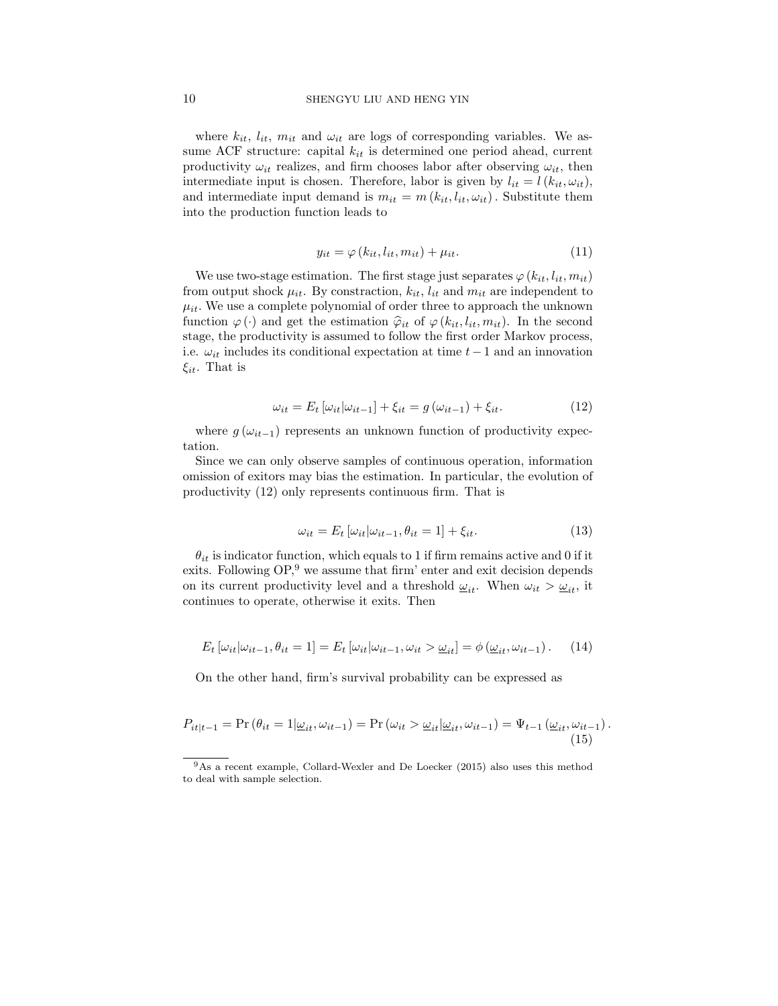where  $k_{it}$ ,  $l_{it}$ ,  $m_{it}$  and  $\omega_{it}$  are logs of corresponding variables. We assume ACF structure: capital  $k_{it}$  is determined one period ahead, current productivity  $\omega_{it}$  realizes, and firm chooses labor after observing  $\omega_{it}$ , then intermediate input is chosen. Therefore, labor is given by  $l_{it} = l(k_{it}, \omega_{it}),$ and intermediate input demand is  $m_{it} = m(k_{it}, l_{it}, \omega_{it})$ . Substitute them into the production function leads to

$$
y_{it} = \varphi(k_{it}, l_{it}, m_{it}) + \mu_{it}.
$$
\n(11)

We use two-stage estimation. The first stage just separates  $\varphi(k_{it}, l_{it}, m_{it})$ from output shock  $\mu_{it}$ . By constraction,  $k_{it}$ ,  $l_{it}$  and  $m_{it}$  are independent to  $\mu_{it}$ . We use a complete polynomial of order three to approach the unknown function  $\varphi(\cdot)$  and get the estimation  $\hat{\varphi}_{it}$  of  $\varphi(k_{it}, l_{it}, m_{it})$ . In the second stage, the productivity is assumed to follow the first order Markov process, i.e.  $\omega_{it}$  includes its conditional expectation at time  $t-1$  and an innovation  $\xi_{it}$ . That is

$$
\omega_{it} = E_t \left[ \omega_{it} | \omega_{it-1} \right] + \xi_{it} = g \left( \omega_{it-1} \right) + \xi_{it}.
$$
\n(12)

where  $g(\omega_{it-1})$  represents an unknown function of productivity expectation.

Since we can only observe samples of continuous operation, information omission of exitors may bias the estimation. In particular, the evolution of productivity (12) only represents continuous firm. That is

$$
\omega_{it} = E_t \left[ \omega_{it} | \omega_{it-1}, \theta_{it} = 1 \right] + \xi_{it}.
$$
\n(13)

 $\theta_{it}$  is indicator function, which equals to 1 if firm remains active and 0 if it exits. Following  $OP<sup>9</sup>$  we assume that firm' enter and exit decision depends on its current productivity level and a threshold  $\underline{\omega}_{it}$ . When  $\omega_{it} > \underline{\omega}_{it}$ , it continues to operate, otherwise it exits. Then

$$
E_t\left[\omega_{it}|\omega_{it-1},\theta_{it}=1\right] = E_t\left[\omega_{it}|\omega_{it-1},\omega_{it} > \underline{\omega}_{it}\right] = \phi\left(\underline{\omega}_{it},\omega_{it-1}\right). \tag{14}
$$

On the other hand, firm's survival probability can be expressed as

$$
P_{it|t-1} = \Pr(\theta_{it} = 1 | \underline{\omega}_{it}, \omega_{it-1}) = \Pr(\omega_{it} > \underline{\omega}_{it} | \underline{\omega}_{it}, \omega_{it-1}) = \Psi_{t-1}(\underline{\omega}_{it}, \omega_{it-1}).
$$
\n(15)

<sup>9</sup>As a recent example, Collard-Wexler and De Loecker (2015) also uses this method to deal with sample selection.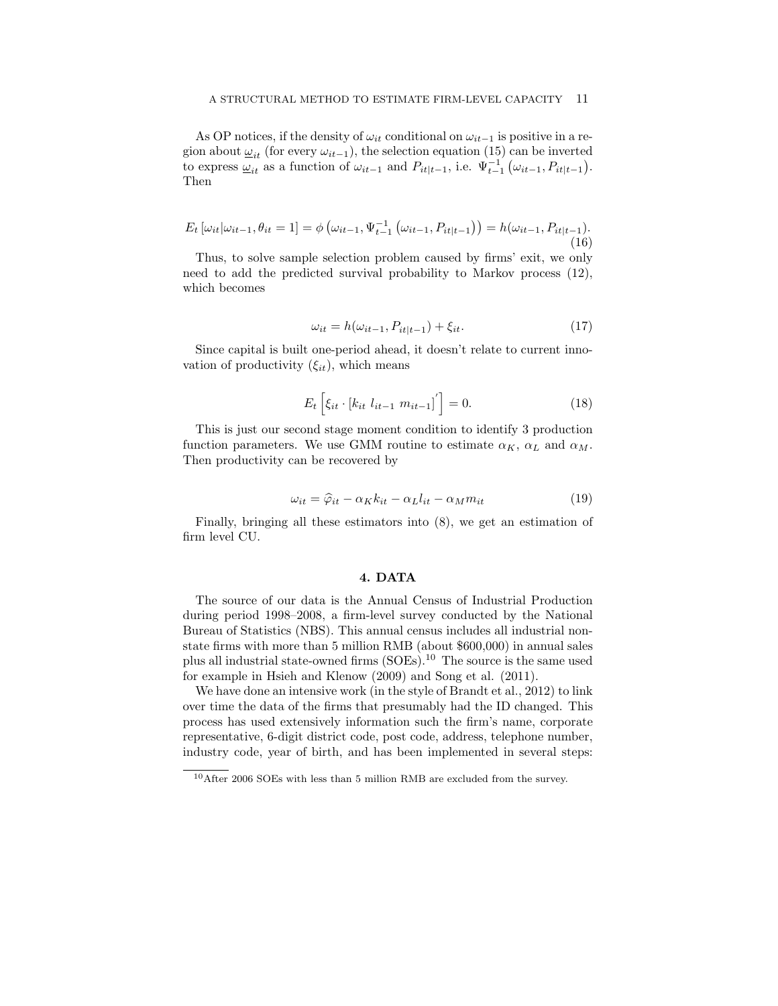As OP notices, if the density of  $\omega_{it}$  conditional on  $\omega_{it-1}$  is positive in a region about  $\omega_{it}$  (for every  $\omega_{it-1}$ ), the selection equation (15) can be inverted to express  $\underline{\omega}_{it}$  as a function of  $\omega_{it-1}$  and  $P_{it|t-1}$ , i.e.  $\Psi_{t-1}^{-1}(\omega_{it-1}, P_{it|t-1})$ . Then

$$
E_t\left[\omega_{it}|\omega_{it-1},\theta_{it}=1\right] = \phi\left(\omega_{it-1},\Psi_{t-1}^{-1}\left(\omega_{it-1},P_{it|t-1}\right)\right) = h(\omega_{it-1},P_{it|t-1}).\tag{16}
$$

Thus, to solve sample selection problem caused by firms' exit, we only need to add the predicted survival probability to Markov process (12), which becomes

$$
\omega_{it} = h(\omega_{it-1}, P_{it|t-1}) + \xi_{it}.
$$
\n
$$
(17)
$$

Since capital is built one-period ahead, it doesn't relate to current innovation of productivity  $(\xi_{it})$ , which means

$$
E_t \left[ \xi_{it} \cdot \left[ k_{it} \right]_{it-1} m_{it-1} \right]' \right] = 0. \tag{18}
$$

This is just our second stage moment condition to identify 3 production function parameters. We use GMM routine to estimate  $\alpha_K$ ,  $\alpha_L$  and  $\alpha_M$ . Then productivity can be recovered by

$$
\omega_{it} = \hat{\varphi}_{it} - \alpha_K k_{it} - \alpha_L l_{it} - \alpha_M m_{it} \tag{19}
$$

Finally, bringing all these estimators into (8), we get an estimation of firm level CU.

### 4. DATA

The source of our data is the Annual Census of Industrial Production during period 1998–2008, a firm-level survey conducted by the National Bureau of Statistics (NBS). This annual census includes all industrial nonstate firms with more than 5 million RMB (about \$600,000) in annual sales plus all industrial state-owned firms (SOEs).<sup>10</sup> The source is the same used for example in Hsieh and Klenow (2009) and Song et al. (2011).

We have done an intensive work (in the style of Brandt et al., 2012) to link over time the data of the firms that presumably had the ID changed. This process has used extensively information such the firm's name, corporate representative, 6-digit district code, post code, address, telephone number, industry code, year of birth, and has been implemented in several steps:

 $10$ After 2006 SOEs with less than 5 million RMB are excluded from the survey.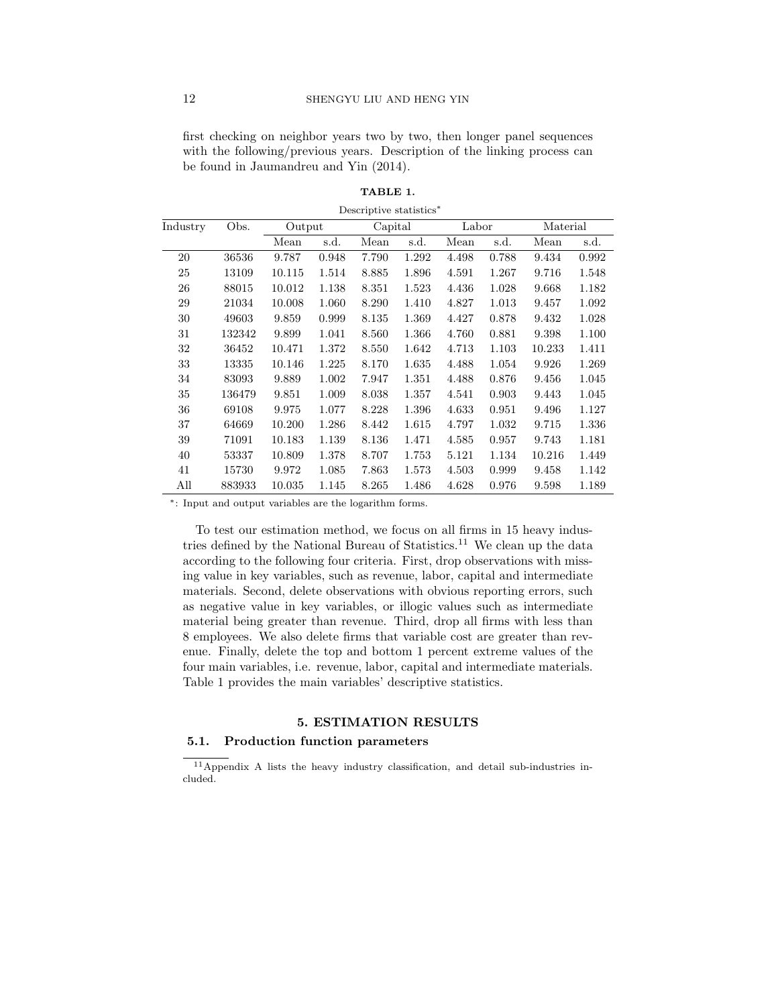first checking on neighbor years two by two, then longer panel sequences with the following/previous years. Description of the linking process can be found in Jaumandreu and Yin (2014).

| Industry | Obs.   | Output |       | Capital |       | Labor |       | Material |       |
|----------|--------|--------|-------|---------|-------|-------|-------|----------|-------|
|          |        | Mean   | s.d.  | Mean    | s.d.  | Mean  | s.d.  | Mean     | s.d.  |
| 20       | 36536  | 9.787  | 0.948 | 7.790   | 1.292 | 4.498 | 0.788 | 9.434    | 0.992 |
| 25       | 13109  | 10.115 | 1.514 | 8.885   | 1.896 | 4.591 | 1.267 | 9.716    | 1.548 |
| 26       | 88015  | 10.012 | 1.138 | 8.351   | 1.523 | 4.436 | 1.028 | 9.668    | 1.182 |
| 29       | 21034  | 10.008 | 1.060 | 8.290   | 1.410 | 4.827 | 1.013 | 9.457    | 1.092 |
| 30       | 49603  | 9.859  | 0.999 | 8.135   | 1.369 | 4.427 | 0.878 | 9.432    | 1.028 |
| 31       | 132342 | 9.899  | 1.041 | 8.560   | 1.366 | 4.760 | 0.881 | 9.398    | 1.100 |
| 32       | 36452  | 10.471 | 1.372 | 8.550   | 1.642 | 4.713 | 1.103 | 10.233   | 1.411 |
| 33       | 13335  | 10.146 | 1.225 | 8.170   | 1.635 | 4.488 | 1.054 | 9.926    | 1.269 |
| 34       | 83093  | 9.889  | 1.002 | 7.947   | 1.351 | 4.488 | 0.876 | 9.456    | 1.045 |
| 35       | 136479 | 9.851  | 1.009 | 8.038   | 1.357 | 4.541 | 0.903 | 9.443    | 1.045 |
| 36       | 69108  | 9.975  | 1.077 | 8.228   | 1.396 | 4.633 | 0.951 | 9.496    | 1.127 |
| 37       | 64669  | 10.200 | 1.286 | 8.442   | 1.615 | 4.797 | 1.032 | 9.715    | 1.336 |
| 39       | 71091  | 10.183 | 1.139 | 8.136   | 1.471 | 4.585 | 0.957 | 9.743    | 1.181 |
| 40       | 53337  | 10.809 | 1.378 | 8.707   | 1.753 | 5.121 | 1.134 | 10.216   | 1.449 |
| 41       | 15730  | 9.972  | 1.085 | 7.863   | 1.573 | 4.503 | 0.999 | 9.458    | 1.142 |
| All      | 883933 | 10.035 | 1.145 | 8.265   | 1.486 | 4.628 | 0.976 | 9.598    | 1.189 |

TABLE 1.

Descriptive statistics<sup>∗</sup>

<sup>∗</sup>: Input and output variables are the logarithm forms.

To test our estimation method, we focus on all firms in 15 heavy industries defined by the National Bureau of Statistics.<sup>11</sup> We clean up the data according to the following four criteria. First, drop observations with missing value in key variables, such as revenue, labor, capital and intermediate materials. Second, delete observations with obvious reporting errors, such as negative value in key variables, or illogic values such as intermediate material being greater than revenue. Third, drop all firms with less than 8 employees. We also delete firms that variable cost are greater than revenue. Finally, delete the top and bottom 1 percent extreme values of the four main variables, i.e. revenue, labor, capital and intermediate materials. Table 1 provides the main variables' descriptive statistics.

# 5. ESTIMATION RESULTS

# 5.1. Production function parameters

<sup>11</sup>Appendix A lists the heavy industry classification, and detail sub-industries included.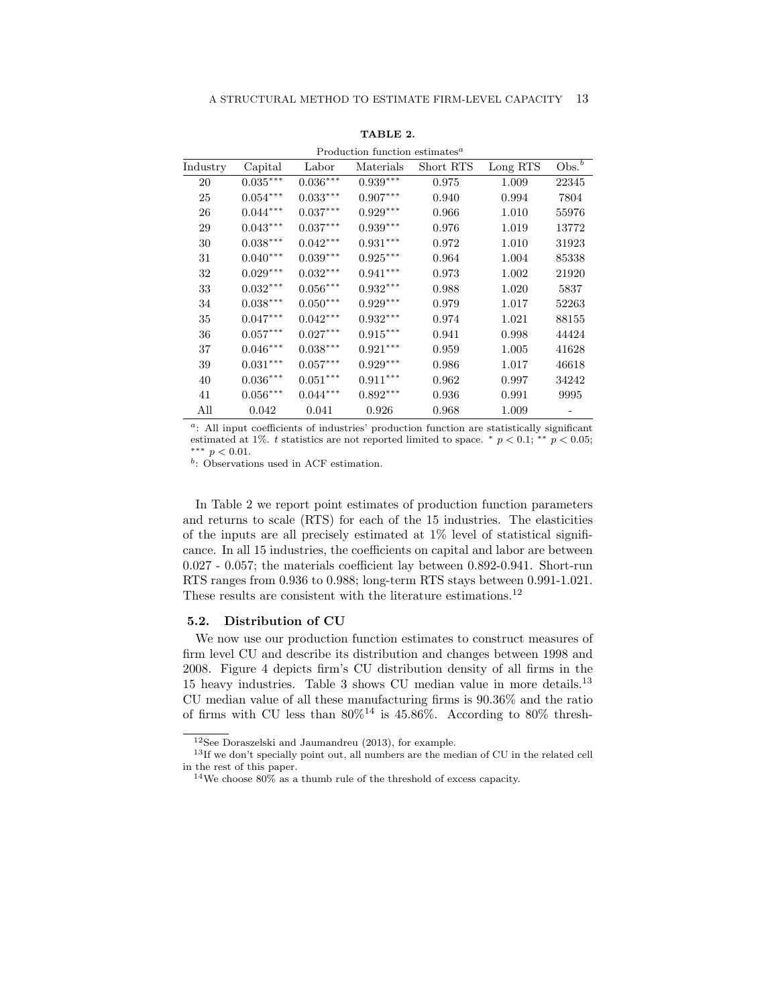|          | Production function estimates <sup><i>a</i></sup> |                        |            |           |          |                      |  |
|----------|---------------------------------------------------|------------------------|------------|-----------|----------|----------------------|--|
| Industry | Capital                                           | Labor                  | Materials  | Short RTS | Long RTS | $Obs^{\overline{b}}$ |  |
| 20       | $0.035***$                                        | $0.036***$             | $0.939***$ | 0.975     | 1.009    | 22345                |  |
| 25       | $0.054^{***}\,$                                   | $0.033^{\ast\ast\ast}$ | $0.907***$ | 0.940     | 0.994    | 7804                 |  |
| 26       | $0.044***$                                        | $0.037***$             | $0.929***$ | 0.966     | 1.010    | 55976                |  |
| 29       | $0.043^{\ast\ast\ast}$                            | $0.037^{\ast\ast\ast}$ | $0.939***$ | 0.976     | 1.019    | 13772                |  |
| 30       | $0.038^{***}\,$                                   | $0.042***$             | $0.931***$ | 0.972     | 1.010    | 31923                |  |
| 31       | $0.040***$                                        | $0.039^{***}\,$        | $0.925***$ | 0.964     | 1.004    | 85338                |  |
| 32       | $0.029***$                                        | $0.032***$             | $0.941***$ | 0.973     | 1.002    | 21920                |  |
| 33       | $0.032***$                                        | $0.056***$             | $0.932***$ | 0.988     | 1.020    | 5837                 |  |
| 34       | $0.038***$                                        | $0.050***$             | $0.929***$ | 0.979     | 1.017    | 52263                |  |
| 35       | $0.047***$                                        | $0.042***$             | $0.932***$ | 0.974     | 1.021    | 88155                |  |
| 36       | $0.057***$                                        | $0.027***$             | $0.915***$ | 0.941     | 0.998    | 44424                |  |
| 37       | $0.046^{\ast\ast\ast}$                            | $0.038^{\ast\ast\ast}$ | $0.921***$ | 0.959     | 1.005    | 41628                |  |
| 39       | $0.031^{***}\,$                                   | $0.057^{\ast\ast\ast}$ | $0.929***$ | 0.986     | 1.017    | 46618                |  |
| 40       | $0.036***$                                        | $0.051^{\ast\ast\ast}$ | $0.911***$ | 0.962     | 0.997    | 34242                |  |
| 41       | $0.056^{\ast\ast\ast}$                            | $0.044***$             | $0.892***$ | 0.936     | 0.991    | 9995                 |  |
| All      | 0.042                                             | 0.041                  | 0.926      | 0.968     | 1.009    |                      |  |

TABLE 2.

 $a$ : All input coefficients of industries' production function are statistically significant estimated at 1%. t statistics are not reported limited to space.  $*$  p < 0.1;  $*$  p < 0.05; ∗∗∗ p < 0.01.

b : Observations used in ACF estimation.

In Table 2 we report point estimates of production function parameters and returns to scale (RTS) for each of the 15 industries. The elasticities of the inputs are all precisely estimated at  $1\%$  level of statistical significance. In all 15 industries, the coefficients on capital and labor are between 0.027 - 0.057; the materials coefficient lay between 0.892-0.941. Short-run RTS ranges from 0.936 to 0.988; long-term RTS stays between 0.991-1.021. These results are consistent with the literature estimations.<sup>12</sup>

### 5.2. Distribution of CU

We now use our production function estimates to construct measures of firm level CU and describe its distribution and changes between 1998 and 2008. Figure 4 depicts firm's CU distribution density of all firms in the 15 heavy industries. Table 3 shows CU median value in more details.<sup>13</sup> CU median value of all these manufacturing firms is 90.36% and the ratio of firms with CU less than  $80\%$ <sup>14</sup> is 45.86%. According to 80% thresh-

<sup>12</sup>See Doraszelski and Jaumandreu (2013), for example.

<sup>&</sup>lt;sup>13</sup>If we don't specially point out, all numbers are the median of CU in the related cell in the rest of this paper.

<sup>&</sup>lt;sup>14</sup>We choose  $80\%$  as a thumb rule of the threshold of excess capacity.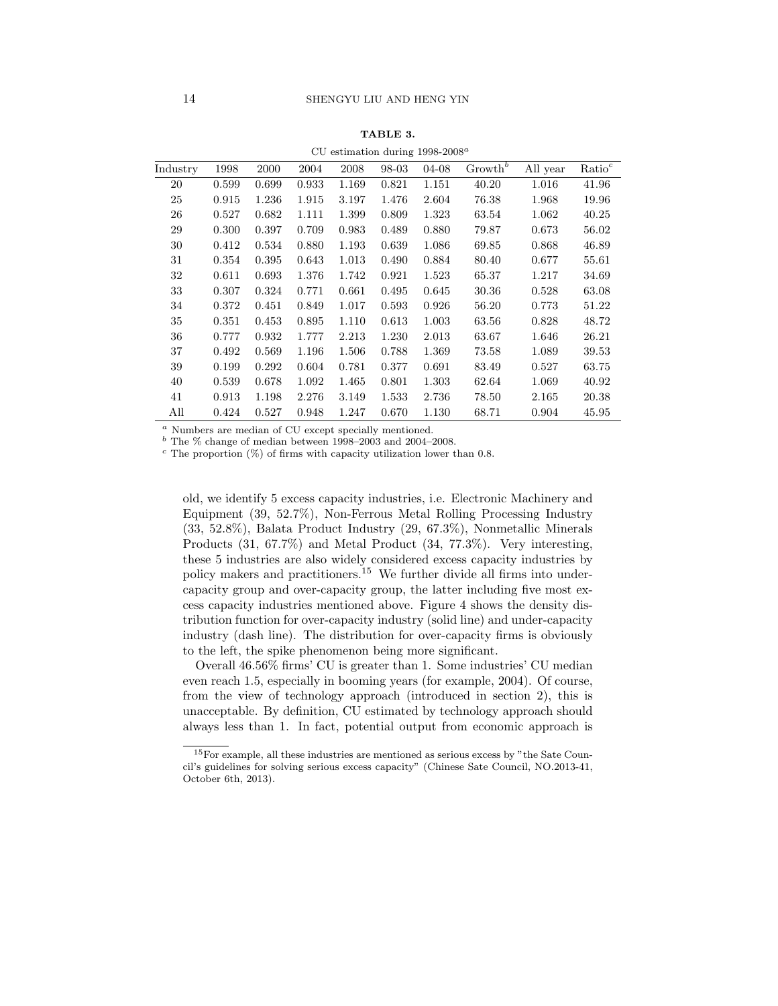|          | CU estimation during $1998-2008^a$ |       |       |       |       |       |            |          |                    |
|----------|------------------------------------|-------|-------|-------|-------|-------|------------|----------|--------------------|
| Industry | 1998                               | 2000  | 2004  | 2008  | 98-03 | 04-08 | $Growth^b$ | All year | $\mathrm{Ratio}^c$ |
| 20       | 0.599                              | 0.699 | 0.933 | 1.169 | 0.821 | 1.151 | 40.20      | 1.016    | 41.96              |
| 25       | 0.915                              | 1.236 | 1.915 | 3.197 | 1.476 | 2.604 | 76.38      | 1.968    | 19.96              |
| 26       | 0.527                              | 0.682 | 1.111 | 1.399 | 0.809 | 1.323 | 63.54      | 1.062    | 40.25              |
| 29       | 0.300                              | 0.397 | 0.709 | 0.983 | 0.489 | 0.880 | 79.87      | 0.673    | 56.02              |
| 30       | 0.412                              | 0.534 | 0.880 | 1.193 | 0.639 | 1.086 | 69.85      | 0.868    | 46.89              |
| 31       | 0.354                              | 0.395 | 0.643 | 1.013 | 0.490 | 0.884 | 80.40      | 0.677    | 55.61              |
| 32       | 0.611                              | 0.693 | 1.376 | 1.742 | 0.921 | 1.523 | 65.37      | 1.217    | 34.69              |
| 33       | 0.307                              | 0.324 | 0.771 | 0.661 | 0.495 | 0.645 | 30.36      | 0.528    | 63.08              |
| 34       | 0.372                              | 0.451 | 0.849 | 1.017 | 0.593 | 0.926 | 56.20      | 0.773    | 51.22              |
| 35       | 0.351                              | 0.453 | 0.895 | 1.110 | 0.613 | 1.003 | 63.56      | 0.828    | 48.72              |
| 36       | 0.777                              | 0.932 | 1.777 | 2.213 | 1.230 | 2.013 | 63.67      | 1.646    | 26.21              |
| 37       | 0.492                              | 0.569 | 1.196 | 1.506 | 0.788 | 1.369 | 73.58      | 1.089    | 39.53              |
| 39       | 0.199                              | 0.292 | 0.604 | 0.781 | 0.377 | 0.691 | 83.49      | 0.527    | 63.75              |
| 40       | 0.539                              | 0.678 | 1.092 | 1.465 | 0.801 | 1.303 | 62.64      | 1.069    | 40.92              |
| 41       | 0.913                              | 1.198 | 2.276 | 3.149 | 1.533 | 2.736 | 78.50      | 2.165    | 20.38              |
| All      | 0.424                              | 0.527 | 0.948 | 1.247 | 0.670 | 1.130 | 68.71      | 0.904    | 45.95              |

TABLE 3.

<sup>a</sup> Numbers are median of CU except specially mentioned.

 $^b$  The  $\%$  change of median between 1998–2003 and 2004–2008.

 $c$  The proportion  $(\%)$  of firms with capacity utilization lower than 0.8.

old, we identify 5 excess capacity industries, i.e. Electronic Machinery and Equipment (39, 52.7%), Non-Ferrous Metal Rolling Processing Industry (33, 52.8%), Balata Product Industry (29, 67.3%), Nonmetallic Minerals Products (31, 67.7%) and Metal Product (34, 77.3%). Very interesting, these 5 industries are also widely considered excess capacity industries by policy makers and practitioners.<sup>15</sup> We further divide all firms into undercapacity group and over-capacity group, the latter including five most excess capacity industries mentioned above. Figure 4 shows the density distribution function for over-capacity industry (solid line) and under-capacity industry (dash line). The distribution for over-capacity firms is obviously to the left, the spike phenomenon being more significant.

Overall 46.56% firms' CU is greater than 1. Some industries' CU median even reach 1.5, especially in booming years (for example, 2004). Of course, from the view of technology approach (introduced in section 2), this is unacceptable. By definition, CU estimated by technology approach should always less than 1. In fact, potential output from economic approach is

<sup>15</sup>For example, all these industries are mentioned as serious excess by "the Sate Council's guidelines for solving serious excess capacity" (Chinese Sate Council, NO.2013-41, October 6th, 2013).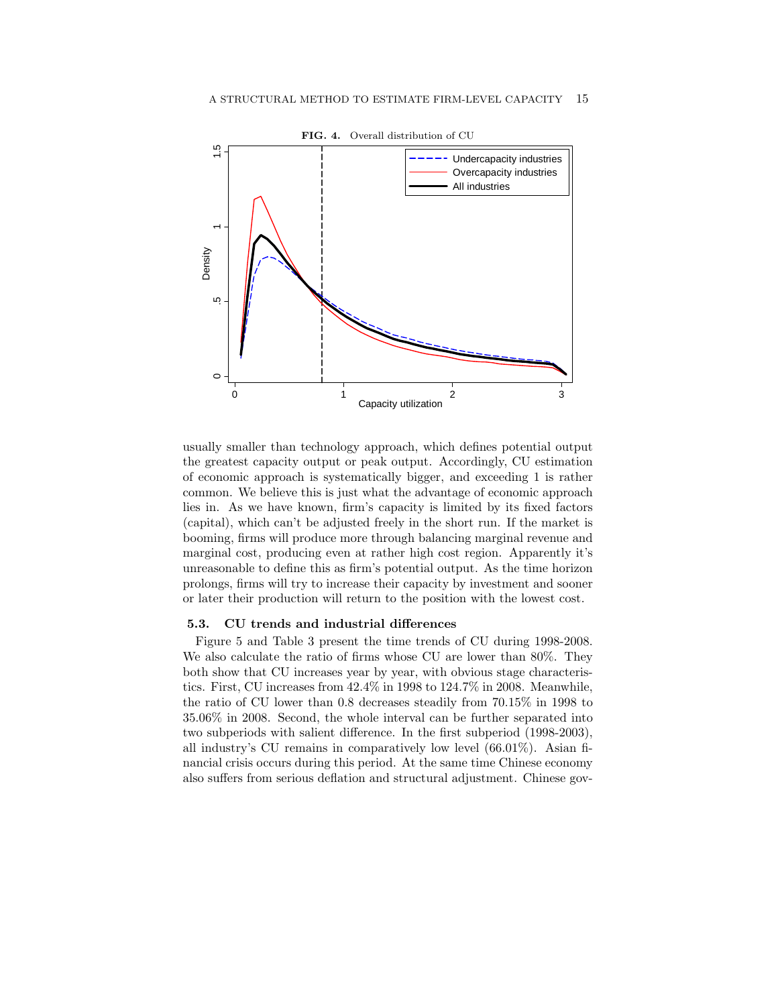

of economic approach is systematically bigger, and exceeding 1 is rather or later their production will return to the position with the lowest cost. 2 marginal cost, producing even at rather high cost region. Apparently it's .<br>. 0.5 0.6 booming, firms will produce more through balancing marginal revenue and (capital), which can't be adjusted freely in the short run. If the market is common. We believe this is just what the advantage of economic approach usually smaller than technology approach, which defines potential output the greatest capacity output or peak output. Accordingly, CU estimation lies in. As we have known, firm's capacity is limited by its fixed factors unreasonable to define this as firm's potential output. As the time horizon prolongs, firms will try to increase their capacity by investment and sooner

### 5.3. CU trends and industrial differences

We also calculate the ratio of firms whose CU are lower than 80%. They Figure 5 and Table 3 present the time trends of CU during 1998-2008. also suffers from serious deflation and structural adjustment. Chinese govboth show that CU increases year by year, with obvious stage characteristics. First, CU increases from 42.4% in 1998 to 124.7% in 2008. Meanwhile, the ratio of CU lower than 0.8 decreases steadily from 70.15% in 1998 to 35.06% in 2008. Second, the whole interval can be further separated into two subperiods with salient difference. In the first subperiod (1998-2003), all industry's CU remains in comparatively low level (66.01%). Asian financial crisis occurs during this period. At the same time Chinese economy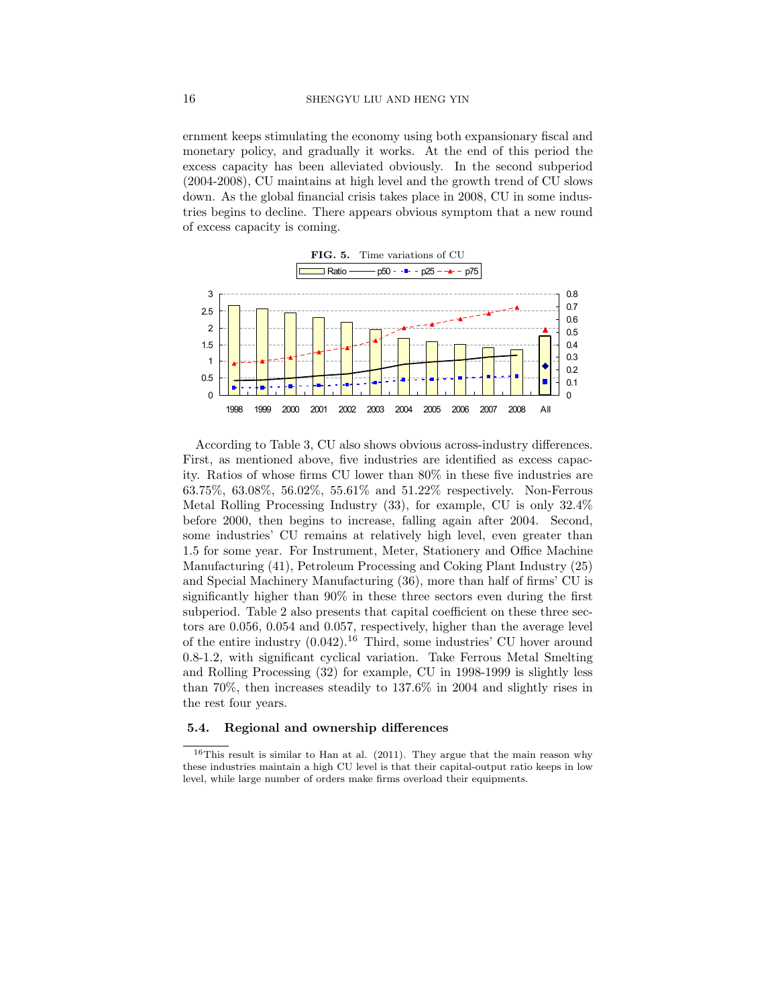ernment keeps stimulating the economy using both expansionary fiscal and monetary policy, and gradually it works. At the end of this period the excess capacity has been alleviated obviously. In the second subperiod 0 $(2004-2008)$ , CU maintains at high level and the growth trend of CU slows down. As the global financial crisis takes place in 2008, CU in some industries begins to decline. There appears obvious symptom that a new round of excess capacity is coming. ee<br>pa



before 2000, then begins to increase, falling again after 2004. Second, According to Table 3, CU also shows obvious across-industry differences. First, as mentioned above, five industries are identified as excess capacity. Ratios of whose firms CU lower than 80% in these five industries are 63.75%, 63.08%, 56.02%, 55.61% and 51.22% respectively. Non-Ferrous Metal Rolling Processing Industry (33), for example, CU is only 32.4% some industries' CU remains at relatively high level, even greater than 1.5 for some year. For Instrument, Meter, Stationery and Office Machine Manufacturing (41), Petroleum Processing and Coking Plant Industry (25) and Special Machinery Manufacturing (36), more than half of firms' CU is significantly higher than 90% in these three sectors even during the first subperiod. Table 2 also presents that capital coefficient on these three sectors are 0.056, 0.054 and 0.057, respectively, higher than the average level of the entire industry  $(0.042)$ .<sup>16</sup> Third, some industries' CU hover around 0.8-1.2, with significant cyclical variation. Take Ferrous Metal Smelting and Rolling Processing (32) for example, CU in 1998-1999 is slightly less than 70%, then increases steadily to 137.6% in 2004 and slightly rises in the rest four years.

### 5.4. Regional and ownership differences

 $16$ This result is similar to Han at al. (2011). They argue that the main reason why these industries maintain a high CU level is that their capital-output ratio keeps in low level, while large number of orders make firms overload their equipments.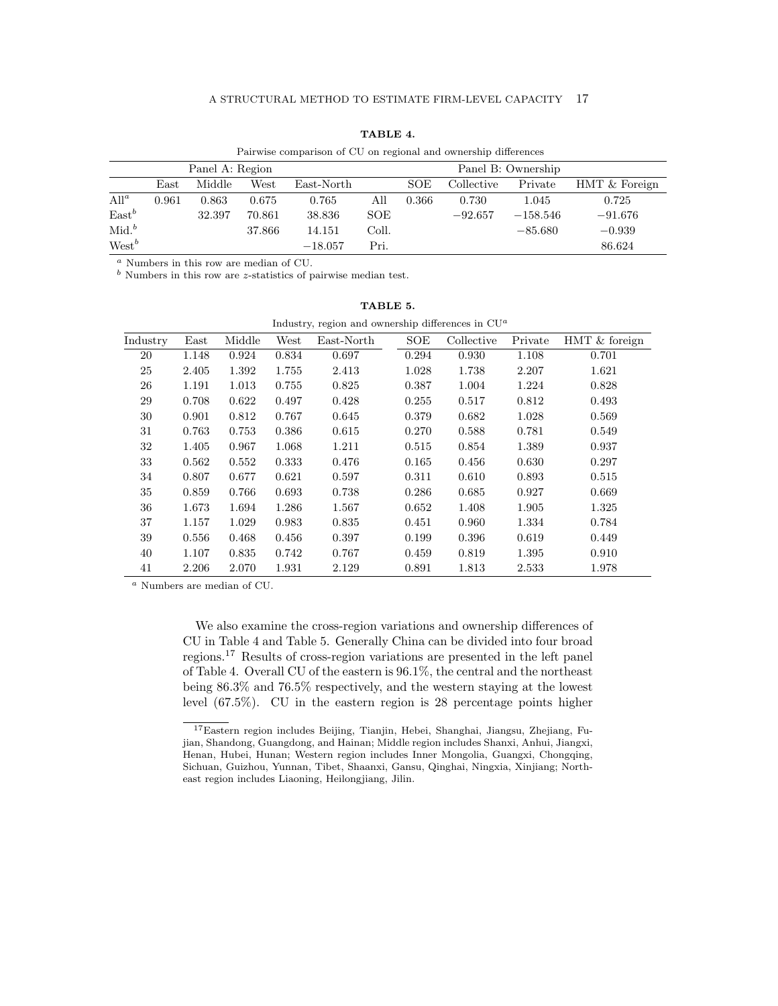|          | Pairwise comparison of CU on regional and ownership differences |        |        |            |       |                    |            |            |               |
|----------|-----------------------------------------------------------------|--------|--------|------------|-------|--------------------|------------|------------|---------------|
|          | Panel A: Region                                                 |        |        |            |       | Panel B: Ownership |            |            |               |
|          | East                                                            | Middle | West   | East-North |       | SOE                | Collective | Private    | HMT & Foreign |
| $All^a$  | 0.961                                                           | 0.863  | 0.675  | 0.765      | All   | 0.366              | 0.730      | 1.045      | 0.725         |
| $East^b$ |                                                                 | 32.397 | 70.861 | 38.836     | SOE   |                    | $-92.657$  | $-158.546$ | $-91.676$     |
| $Mid.^b$ |                                                                 |        | 37.866 | 14.151     | Coll. |                    |            | $-85.680$  | $-0.939$      |
| $West^b$ |                                                                 |        |        | $-18.057$  | Pri.  |                    |            |            | 86.624        |

TABLE 4.

<sup>a</sup> Numbers in this row are median of CU.

 $<sup>b</sup>$  Numbers in this row are *z*-statistics of pairwise median test.</sup>

|          | Industry, region and ownership differences in $\mathrm{C} \mathrm{U}^-$ |        |       |            |           |            |         |               |
|----------|-------------------------------------------------------------------------|--------|-------|------------|-----------|------------|---------|---------------|
| Industry | $\rm East$                                                              | Middle | West  | East-North | SOE       | Collective | Private | HMT & foreign |
| 20       | 1.148                                                                   | 0.924  | 0.834 | 0.697      | 0.294     | 0.930      | 1.108   | 0.701         |
| 25       | 2.405                                                                   | 1.392  | 1.755 | 2.413      | 1.028     | 1.738      | 2.207   | 1.621         |
| 26       | 1.191                                                                   | 1.013  | 0.755 | 0.825      | 0.387     | 1.004      | 1.224   | 0.828         |
| 29       | 0.708                                                                   | 0.622  | 0.497 | 0.428      | 0.255     | 0.517      | 0.812   | 0.493         |
| 30       | 0.901                                                                   | 0.812  | 0.767 | 0.645      | 0.379     | 0.682      | 1.028   | 0.569         |
| 31       | 0.763                                                                   | 0.753  | 0.386 | 0.615      | 0.270     | 0.588      | 0.781   | 0.549         |
| 32       | 1.405                                                                   | 0.967  | 1.068 | 1.211      | 0.515     | 0.854      | 1.389   | 0.937         |
| 33       | 0.562                                                                   | 0.552  | 0.333 | 0.476      | $0.165\,$ | 0.456      | 0.630   | 0.297         |
| 34       | 0.807                                                                   | 0.677  | 0.621 | 0.597      | 0.311     | 0.610      | 0.893   | 0.515         |
| 35       | 0.859                                                                   | 0.766  | 0.693 | 0.738      | 0.286     | 0.685      | 0.927   | 0.669         |
| 36       | 1.673                                                                   | 1.694  | 1.286 | 1.567      | 0.652     | 1.408      | 1.905   | 1.325         |
| 37       | 1.157                                                                   | 1.029  | 0.983 | 0.835      | 0.451     | 0.960      | 1.334   | 0.784         |
| 39       | 0.556                                                                   | 0.468  | 0.456 | 0.397      | 0.199     | 0.396      | 0.619   | 0.449         |
| 40       | 1.107                                                                   | 0.835  | 0.742 | 0.767      | 0.459     | 0.819      | 1.395   | 0.910         |
| 41       | 2.206                                                                   | 2.070  | 1.931 | 2.129      | 0.891     | 1.813      | 2.533   | 1.978         |

| TABLE 5. |  |
|----------|--|
|          |  |

Industry, region and ownership differences in CU<sup>a</sup>

 $^a$  Numbers are median of CU.

We also examine the cross-region variations and ownership differences of CU in Table 4 and Table 5. Generally China can be divided into four broad regions.<sup>17</sup> Results of cross-region variations are presented in the left panel of Table 4. Overall CU of the eastern is 96.1%, the central and the northeast being 86.3% and 76.5% respectively, and the western staying at the lowest level (67.5%). CU in the eastern region is 28 percentage points higher

<sup>17</sup>Eastern region includes Beijing, Tianjin, Hebei, Shanghai, Jiangsu, Zhejiang, Fujian, Shandong, Guangdong, and Hainan; Middle region includes Shanxi, Anhui, Jiangxi, Henan, Hubei, Hunan; Western region includes Inner Mongolia, Guangxi, Chongqing, Sichuan, Guizhou, Yunnan, Tibet, Shaanxi, Gansu, Qinghai, Ningxia, Xinjiang; Northeast region includes Liaoning, Heilongjiang, Jilin.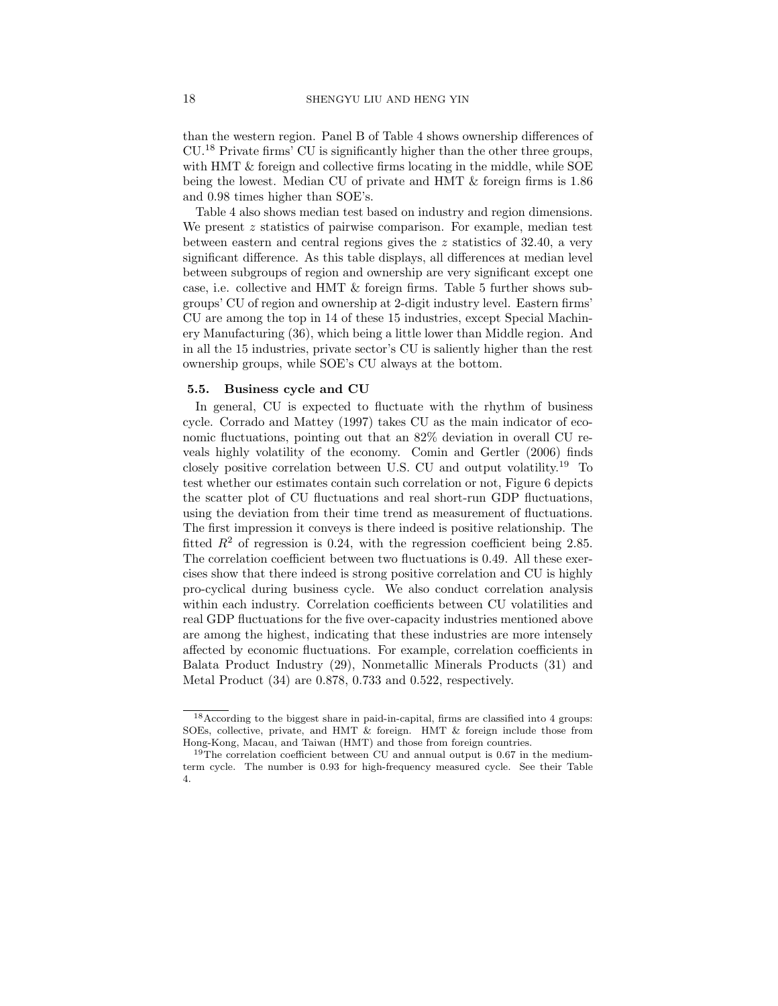than the western region. Panel B of Table 4 shows ownership differences of CU.<sup>18</sup> Private firms' CU is significantly higher than the other three groups, with HMT & foreign and collective firms locating in the middle, while SOE being the lowest. Median CU of private and HMT & foreign firms is 1.86 and 0.98 times higher than SOE's.

Table 4 also shows median test based on industry and region dimensions. We present z statistics of pairwise comparison. For example, median test between eastern and central regions gives the z statistics of 32.40, a very significant difference. As this table displays, all differences at median level between subgroups of region and ownership are very significant except one case, i.e. collective and HMT & foreign firms. Table 5 further shows subgroups' CU of region and ownership at 2-digit industry level. Eastern firms' CU are among the top in 14 of these 15 industries, except Special Machinery Manufacturing (36), which being a little lower than Middle region. And in all the 15 industries, private sector's CU is saliently higher than the rest ownership groups, while SOE's CU always at the bottom.

### 5.5. Business cycle and CU

In general, CU is expected to fluctuate with the rhythm of business cycle. Corrado and Mattey (1997) takes CU as the main indicator of economic fluctuations, pointing out that an 82% deviation in overall CU reveals highly volatility of the economy. Comin and Gertler (2006) finds closely positive correlation between U.S. CU and output volatility.<sup>19</sup> To test whether our estimates contain such correlation or not, Figure 6 depicts the scatter plot of CU fluctuations and real short-run GDP fluctuations, using the deviation from their time trend as measurement of fluctuations. The first impression it conveys is there indeed is positive relationship. The fitted  $R^2$  of regression is 0.24, with the regression coefficient being 2.85. The correlation coefficient between two fluctuations is 0.49. All these exercises show that there indeed is strong positive correlation and CU is highly pro-cyclical during business cycle. We also conduct correlation analysis within each industry. Correlation coefficients between CU volatilities and real GDP fluctuations for the five over-capacity industries mentioned above are among the highest, indicating that these industries are more intensely affected by economic fluctuations. For example, correlation coefficients in Balata Product Industry (29), Nonmetallic Minerals Products (31) and Metal Product (34) are 0.878, 0.733 and 0.522, respectively.

 $^{18}\rm{According}$  to the biggest share in paid-in-capital, firms are classified into 4 groups: SOEs, collective, private, and HMT & foreign. HMT & foreign include those from Hong-Kong, Macau, and Taiwan (HMT) and those from foreign countries.

 $19$ The correlation coefficient between CU and annual output is 0.67 in the mediumterm cycle. The number is 0.93 for high-frequency measured cycle. See their Table 4.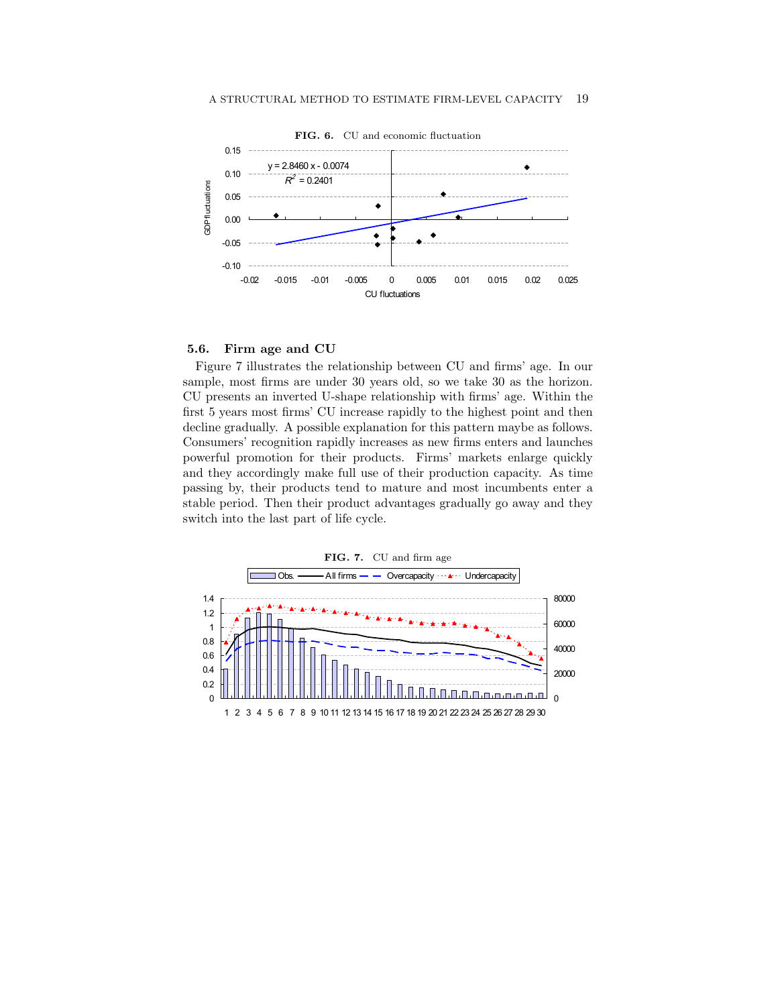

#### $\mathbf{r}$   $\mathbf{r}$ 5.6. Firm age and CU

passing by, their products tend to mature and most incumbents enter a and they accordingly make full use of their production capacity. As time powerful promotion for their products. Firms' markets enlarge quickly Consumers' recognition rapidly increases as new firms enters and launches decline gradually. A possible explanation for this pattern maybe as follows. first 5 years most firms' CU increase rapidly to the highest point and then CU presents an inverted U-shape relationship with firms' age. Within the sample, most firms are under  $30$  years old, so we take  $30$  as the horizon. stable period. Then their product advantages gradually go away and they Figure 7 illustrates the relationship between CU and firms' age. In our switch into the last part of life cycle. J<br>dp<br>n

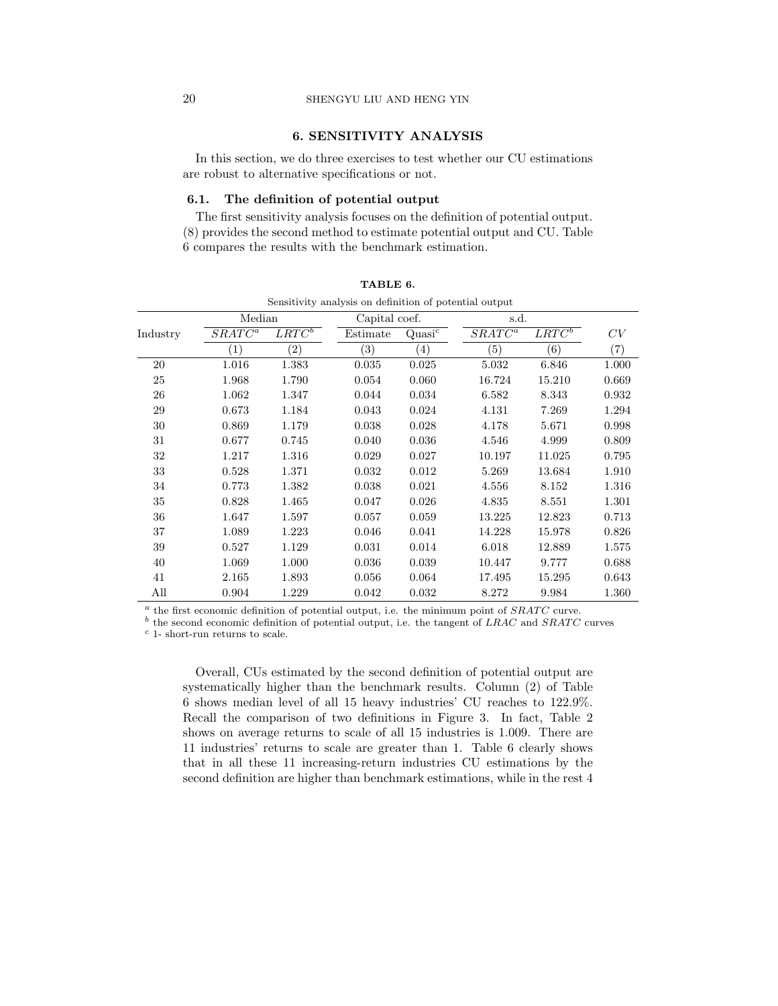# 20 SHENGYU LIU AND HENG YIN

# 6. SENSITIVITY ANALYSIS

In this section, we do three exercises to test whether our CU estimations are robust to alternative specifications or not.

### 6.1. The definition of potential output

The first sensitivity analysis focuses on the definition of potential output. (8) provides the second method to estimate potential output and CU. Table 6 compares the results with the benchmark estimation.

|          | belisterytty allarysis oli defilmeroll of potential output |                   |               |                    |                      |                   |       |  |
|----------|------------------------------------------------------------|-------------------|---------------|--------------------|----------------------|-------------------|-------|--|
|          | Median                                                     |                   | Capital coef. |                    | s.d.                 |                   |       |  |
| Industry | $SRATC^a$                                                  | $LRTC^b$          | Estimate      | Quasi <sup>c</sup> | $SRA\overline{TC^a}$ | $LRTC^b$          | CV    |  |
|          | $\left( 1\right)$                                          | $\left( 2\right)$ | (3)           | $\left(4\right)$   | (5)                  | $\left( 6\right)$ | (7)   |  |
| 20       | 1.016                                                      | 1.383             | 0.035         | 0.025              | 5.032                | 6.846             | 1.000 |  |
| 25       | 1.968                                                      | 1.790             | 0.054         | 0.060              | 16.724               | 15.210            | 0.669 |  |
| 26       | 1.062                                                      | 1.347             | 0.044         | 0.034              | 6.582                | 8.343             | 0.932 |  |
| 29       | 0.673                                                      | 1.184             | 0.043         | 0.024              | 4.131                | 7.269             | 1.294 |  |
| 30       | 0.869                                                      | 1.179             | 0.038         | 0.028              | 4.178                | 5.671             | 0.998 |  |
| 31       | 0.677                                                      | 0.745             | 0.040         | 0.036              | 4.546                | 4.999             | 0.809 |  |
| 32       | 1.217                                                      | 1.316             | 0.029         | 0.027              | 10.197               | 11.025            | 0.795 |  |
| 33       | 0.528                                                      | 1.371             | 0.032         | 0.012              | 5.269                | 13.684            | 1.910 |  |
| 34       | 0.773                                                      | 1.382             | 0.038         | 0.021              | 4.556                | 8.152             | 1.316 |  |
| 35       | 0.828                                                      | 1.465             | 0.047         | 0.026              | 4.835                | 8.551             | 1.301 |  |
| 36       | 1.647                                                      | 1.597             | 0.057         | 0.059              | 13.225               | 12.823            | 0.713 |  |
| 37       | 1.089                                                      | 1.223             | 0.046         | 0.041              | 14.228               | 15.978            | 0.826 |  |
| 39       | 0.527                                                      | 1.129             | 0.031         | 0.014              | 6.018                | 12.889            | 1.575 |  |
| 40       | 1.069                                                      | 1.000             | 0.036         | 0.039              | 10.447               | 9.777             | 0.688 |  |
| 41       | 2.165                                                      | 1.893             | 0.056         | 0.064              | 17.495               | 15.295            | 0.643 |  |
| All      | 0.904                                                      | 1.229             | 0.042         | 0.032              | 8.272                | 9.984             | 1.360 |  |

|  | TABLE 6. |                                                       |  |
|--|----------|-------------------------------------------------------|--|
|  |          | Constituto sualista en definition ef notantial autori |  |

 $a$  the first economic definition of potential output, i.e. the minimum point of  $SRACTC$  curve.

<sup>b</sup> the second economic definition of potential output, i.e. the tangent of LRAC and SRATC curves

 $c$  1- short-run returns to scale.

Overall, CUs estimated by the second definition of potential output are systematically higher than the benchmark results. Column (2) of Table 6 shows median level of all 15 heavy industries' CU reaches to 122.9%. Recall the comparison of two definitions in Figure 3. In fact, Table 2 shows on average returns to scale of all 15 industries is 1.009. There are 11 industries' returns to scale are greater than 1. Table 6 clearly shows that in all these 11 increasing-return industries CU estimations by the second definition are higher than benchmark estimations, while in the rest 4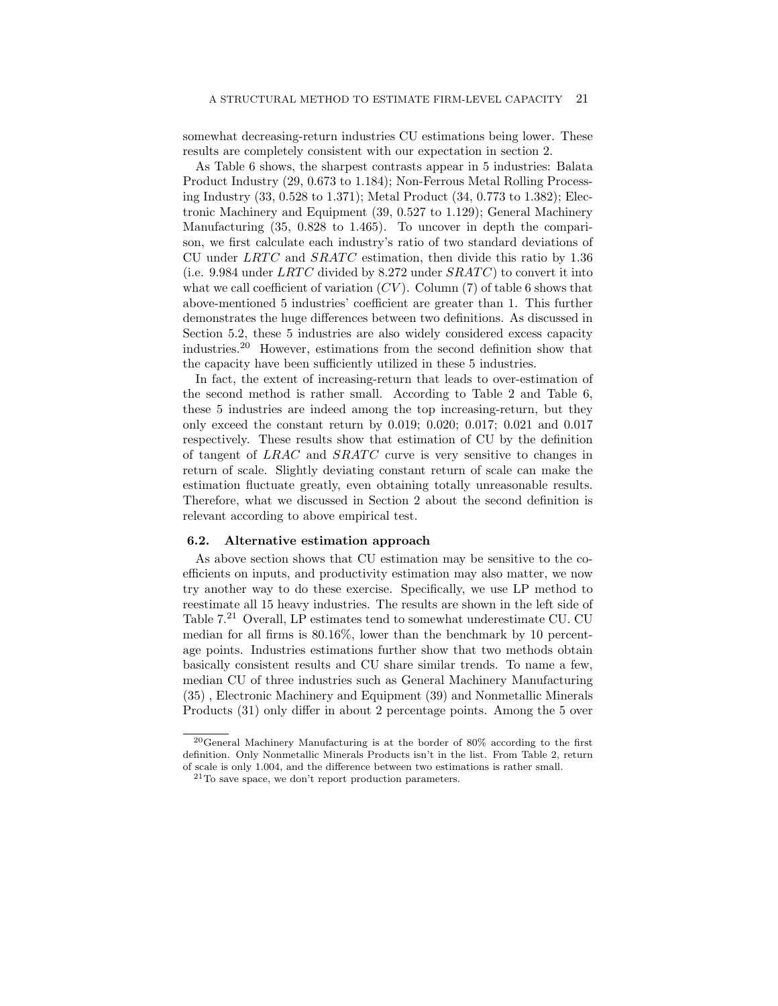somewhat decreasing-return industries CU estimations being lower. These results are completely consistent with our expectation in section 2.

As Table 6 shows, the sharpest contrasts appear in 5 industries: Balata Product Industry (29, 0.673 to 1.184); Non-Ferrous Metal Rolling Processing Industry (33, 0.528 to 1.371); Metal Product (34, 0.773 to 1.382); Electronic Machinery and Equipment (39, 0.527 to 1.129); General Machinery Manufacturing (35, 0.828 to 1.465). To uncover in depth the comparison, we first calculate each industry's ratio of two standard deviations of CU under  $LRTC$  and  $SRATC$  estimation, then divide this ratio by 1.36 (i.e. 9.984 under  $LRTC$  divided by 8.272 under  $SRATC$ ) to convert it into what we call coefficient of variation  $(CV)$ . Column (7) of table 6 shows that above-mentioned 5 industries' coefficient are greater than 1. This further demonstrates the huge differences between two definitions. As discussed in Section 5.2, these 5 industries are also widely considered excess capacity industries.<sup>20</sup> However, estimations from the second definition show that the capacity have been sufficiently utilized in these 5 industries.

In fact, the extent of increasing-return that leads to over-estimation of the second method is rather small. According to Table 2 and Table 6, these 5 industries are indeed among the top increasing-return, but they only exceed the constant return by 0.019; 0.020; 0.017; 0.021 and 0.017 respectively. These results show that estimation of CU by the definition of tangent of  $LRAC$  and  $SRATC$  curve is very sensitive to changes in return of scale. Slightly deviating constant return of scale can make the estimation fluctuate greatly, even obtaining totally unreasonable results. Therefore, what we discussed in Section 2 about the second definition is relevant according to above empirical test.

### 6.2. Alternative estimation approach

As above section shows that CU estimation may be sensitive to the coefficients on inputs, and productivity estimation may also matter, we now try another way to do these exercise. Specifically, we use LP method to reestimate all 15 heavy industries. The results are shown in the left side of Table 7.<sup>21</sup> Overall, LP estimates tend to somewhat underestimate CU. CU median for all firms is 80.16%, lower than the benchmark by 10 percentage points. Industries estimations further show that two methods obtain basically consistent results and CU share similar trends. To name a few, median CU of three industries such as General Machinery Manufacturing (35) , Electronic Machinery and Equipment (39) and Nonmetallic Minerals Products (31) only differ in about 2 percentage points. Among the 5 over

<sup>20</sup>General Machinery Manufacturing is at the border of 80% according to the first definition. Only Nonmetallic Minerals Products isn't in the list. From Table 2, return of scale is only 1.004, and the difference between two estimations is rather small.

 $21$ To save space, we don't report production parameters.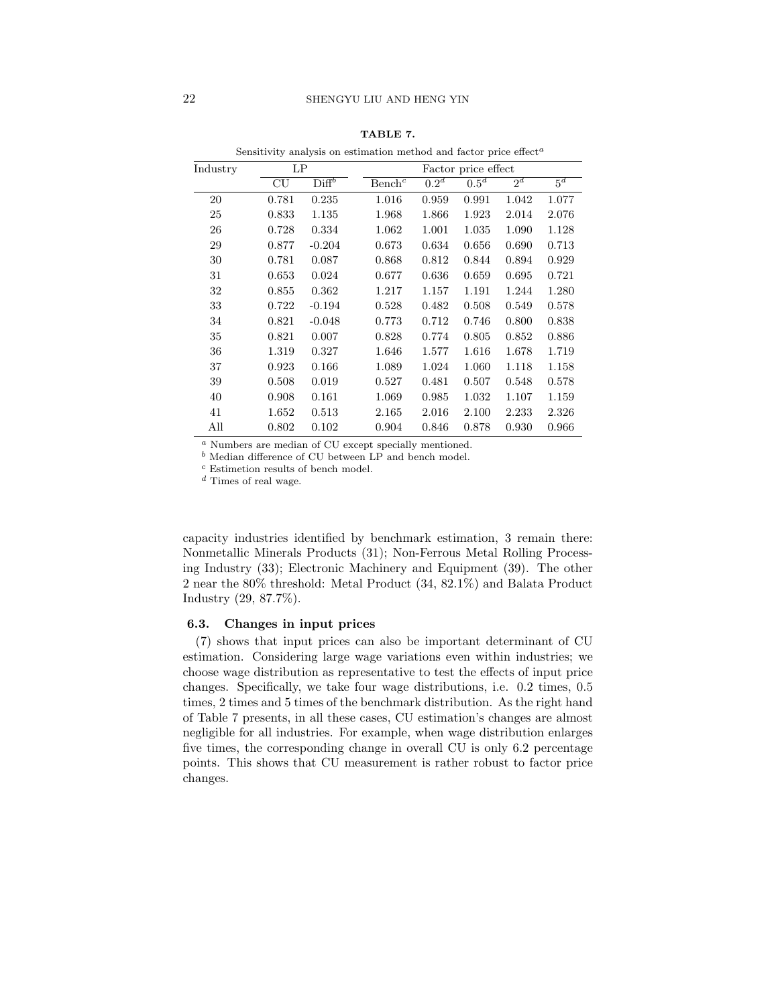|          | Sensitivity analysis on estimation method and factor price effect <sup><math>a</math></sup> |                              |                    |                     |         |       |                  |  |  |  |
|----------|---------------------------------------------------------------------------------------------|------------------------------|--------------------|---------------------|---------|-------|------------------|--|--|--|
| Industry | LP                                                                                          |                              |                    | Factor price effect |         |       |                  |  |  |  |
|          | CU                                                                                          | $\overline{\mathrm{Diff}^b}$ | Bench <sup>c</sup> | $\overline{0.2^d}$  | $0.5^d$ | $2^d$ | $\overline{5^d}$ |  |  |  |
| 20       | 0.781                                                                                       | 0.235                        | 1.016              | 0.959               | 0.991   | 1.042 | 1.077            |  |  |  |
| 25       | 0.833                                                                                       | 1.135                        | 1.968              | 1.866               | 1.923   | 2.014 | 2.076            |  |  |  |
| 26       | 0.728                                                                                       | 0.334                        | 1.062              | 1.001               | 1.035   | 1.090 | 1.128            |  |  |  |
| 29       | 0.877                                                                                       | $-0.204$                     | 0.673              | 0.634               | 0.656   | 0.690 | 0.713            |  |  |  |
| 30       | 0.781                                                                                       | 0.087                        | 0.868              | 0.812               | 0.844   | 0.894 | 0.929            |  |  |  |
| 31       | 0.653                                                                                       | 0.024                        | 0.677              | 0.636               | 0.659   | 0.695 | 0.721            |  |  |  |
| 32       | 0.855                                                                                       | 0.362                        | 1.217              | 1.157               | 1.191   | 1.244 | 1.280            |  |  |  |
| 33       | 0.722                                                                                       | $-0.194$                     | 0.528              | 0.482               | 0.508   | 0.549 | 0.578            |  |  |  |
| 34       | 0.821                                                                                       | $-0.048$                     | 0.773              | 0.712               | 0.746   | 0.800 | 0.838            |  |  |  |
| 35       | 0.821                                                                                       | 0.007                        | 0.828              | 0.774               | 0.805   | 0.852 | 0.886            |  |  |  |
| 36       | 1.319                                                                                       | 0.327                        | 1.646              | 1.577               | 1.616   | 1.678 | 1.719            |  |  |  |
| 37       | 0.923                                                                                       | 0.166                        | 1.089              | 1.024               | 1.060   | 1.118 | 1.158            |  |  |  |
| 39       | 0.508                                                                                       | 0.019                        | 0.527              | 0.481               | 0.507   | 0.548 | 0.578            |  |  |  |
| 40       | 0.908                                                                                       | 0.161                        | 1.069              | 0.985               | 1.032   | 1.107 | 1.159            |  |  |  |
| 41       | 1.652                                                                                       | 0.513                        | 2.165              | 2.016               | 2.100   | 2.233 | 2.326            |  |  |  |
| All      | 0.802                                                                                       | 0.102                        | 0.904              | 0.846               | 0.878   | 0.930 | 0.966            |  |  |  |

TABLE 7.

 $\emph{^a}$  Numbers are median of CU except specially mentioned.

 $<sup>b</sup>$  Median difference of CU between LP and bench model.</sup>

 $^{\rm c}$  Estimetion results of bench model.

 $\real^d$  Times of real wage.

capacity industries identified by benchmark estimation, 3 remain there: Nonmetallic Minerals Products (31); Non-Ferrous Metal Rolling Processing Industry (33); Electronic Machinery and Equipment (39). The other 2 near the 80% threshold: Metal Product (34, 82.1%) and Balata Product Industry (29, 87.7%).

### 6.3. Changes in input prices

(7) shows that input prices can also be important determinant of CU estimation. Considering large wage variations even within industries; we choose wage distribution as representative to test the effects of input price changes. Specifically, we take four wage distributions, i.e. 0.2 times, 0.5 times, 2 times and 5 times of the benchmark distribution. As the right hand of Table 7 presents, in all these cases, CU estimation's changes are almost negligible for all industries. For example, when wage distribution enlarges five times, the corresponding change in overall CU is only 6.2 percentage points. This shows that CU measurement is rather robust to factor price changes.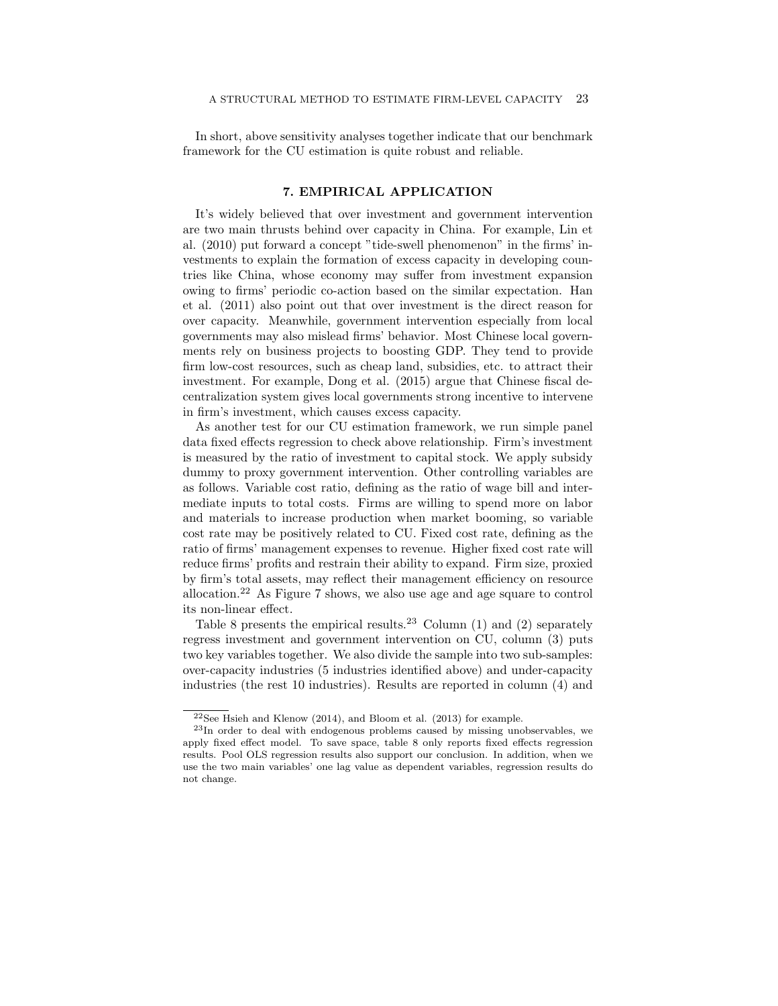In short, above sensitivity analyses together indicate that our benchmark framework for the CU estimation is quite robust and reliable.

### 7. EMPIRICAL APPLICATION

It's widely believed that over investment and government intervention are two main thrusts behind over capacity in China. For example, Lin et al. (2010) put forward a concept "tide-swell phenomenon" in the firms' investments to explain the formation of excess capacity in developing countries like China, whose economy may suffer from investment expansion owing to firms' periodic co-action based on the similar expectation. Han et al. (2011) also point out that over investment is the direct reason for over capacity. Meanwhile, government intervention especially from local governments may also mislead firms' behavior. Most Chinese local governments rely on business projects to boosting GDP. They tend to provide firm low-cost resources, such as cheap land, subsidies, etc. to attract their investment. For example, Dong et al. (2015) argue that Chinese fiscal decentralization system gives local governments strong incentive to intervene in firm's investment, which causes excess capacity.

As another test for our CU estimation framework, we run simple panel data fixed effects regression to check above relationship. Firm's investment is measured by the ratio of investment to capital stock. We apply subsidy dummy to proxy government intervention. Other controlling variables are as follows. Variable cost ratio, defining as the ratio of wage bill and intermediate inputs to total costs. Firms are willing to spend more on labor and materials to increase production when market booming, so variable cost rate may be positively related to CU. Fixed cost rate, defining as the ratio of firms' management expenses to revenue. Higher fixed cost rate will reduce firms' profits and restrain their ability to expand. Firm size, proxied by firm's total assets, may reflect their management efficiency on resource allocation.<sup>22</sup> As Figure 7 shows, we also use age and age square to control its non-linear effect.

Table 8 presents the empirical results.<sup>23</sup> Column (1) and (2) separately regress investment and government intervention on CU, column (3) puts two key variables together. We also divide the sample into two sub-samples: over-capacity industries (5 industries identified above) and under-capacity industries (the rest 10 industries). Results are reported in column (4) and

<sup>22</sup>See Hsieh and Klenow (2014), and Bloom et al. (2013) for example.

<sup>23</sup>In order to deal with endogenous problems caused by missing unobservables, we apply fixed effect model. To save space, table 8 only reports fixed effects regression results. Pool OLS regression results also support our conclusion. In addition, when we use the two main variables' one lag value as dependent variables, regression results do not change.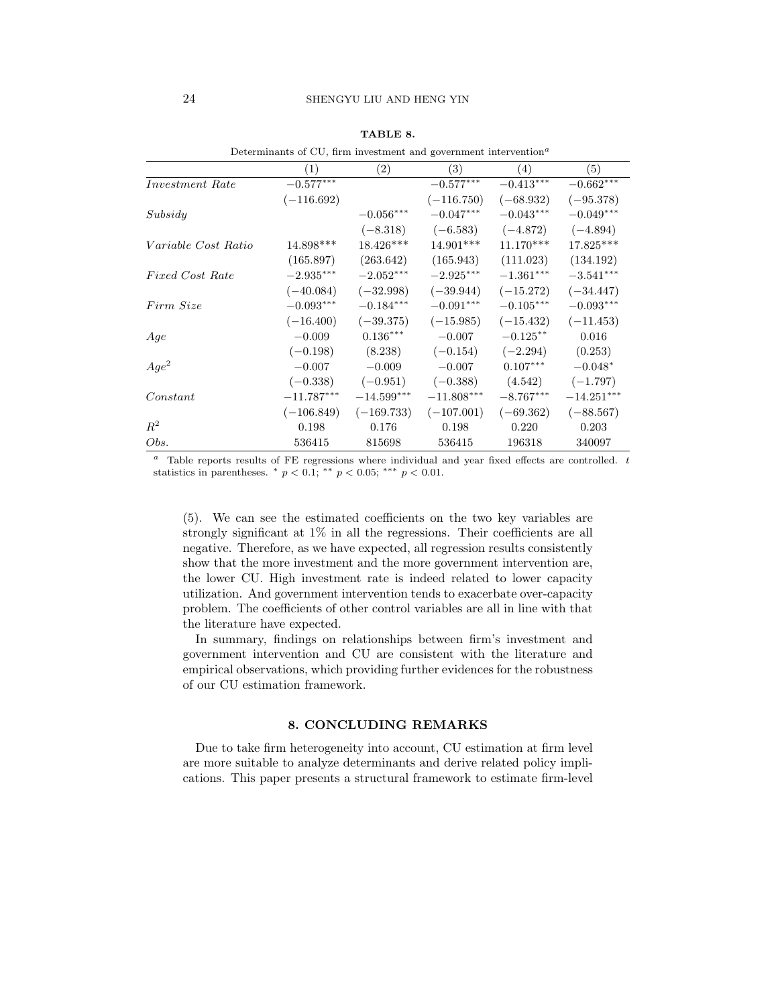|                            | Determinants of $CU$ , firm investment and government intervention <sup><math>\alpha</math></sup> |                   |              |             |                         |
|----------------------------|---------------------------------------------------------------------------------------------------|-------------------|--------------|-------------|-------------------------|
|                            | (1)                                                                                               | $\left( 2\right)$ | (3)          | (4)         | (5)                     |
| <i>Investment Rate</i>     | $-0.577***$                                                                                       |                   | $-0.577***$  | $-0.413***$ | $-0.662^{\ast\ast\ast}$ |
|                            | $(-116.692)$                                                                                      |                   | $(-116.750)$ | $(-68.932)$ | $(-95.378)$             |
| Subsidy                    |                                                                                                   | $-0.056***$       | $-0.047***$  | $-0.043***$ | $-0.049***$             |
|                            |                                                                                                   | $(-8.318)$        | $(-6.583)$   | $(-4.872)$  | $(-4.894)$              |
| <i>Variable Cost Ratio</i> | 14.898***                                                                                         | 18.426***         | 14.901***    | $11.170***$ | $17.825***$             |
|                            | (165.897)                                                                                         | (263.642)         | (165.943)    | (111.023)   | (134.192)               |
| <b>Fixed Cost Rate</b>     | $-2.935^{\ast\ast\ast}$                                                                           | $-2.052***$       | $-2.925***$  | $-1.361***$ | $-3.541***$             |
|                            | $(-40.084)$                                                                                       | $(-32.998)$       | $(-39.944)$  | $(-15.272)$ | $(-34.447)$             |
| Firm Size                  | $-0.093***$                                                                                       | $-0.184***$       | $-0.091***$  | $-0.105***$ | $-0.093***$             |
|                            | $(-16.400)$                                                                                       | $(-39.375)$       | $(-15.985)$  | $(-15.432)$ | $(-11.453)$             |
| Age                        | $-0.009$                                                                                          | $0.136***$        | $-0.007$     | $-0.125**$  | 0.016                   |
|                            | $(-0.198)$                                                                                        | (8.238)           | $(-0.154)$   | $(-2.294)$  | (0.253)                 |
| $Age^2$                    | $-0.007$                                                                                          | $-0.009$          | $-0.007$     | $0.107***$  | $-0.048*$               |
|                            | $(-0.338)$                                                                                        | $(-0.951)$        | $(-0.388)$   | (4.542)     | $(-1.797)$              |
| Constant                   | $-11.787^{***}$                                                                                   | $-14.599***$      | $-11.808***$ | $-8.767***$ | $-14.251***$            |
|                            | $(-106.849)$                                                                                      | $(-169.733)$      | $(-107.001)$ | $(-69.362)$ | $(-88.567)$             |
| $R^2$                      | 0.198                                                                                             | 0.176             | 0.198        | 0.220       | 0.203                   |
| Obs.                       | 536415                                                                                            | 815698            | 536415       | 196318      | 340097                  |

### TABLE 8.

Determinants of CU, firm investment and government intervention<sup> $a$ </sup>

 $a$  Table reports results of FE regressions where individual and year fixed effects are controlled.  $t$ statistics in parentheses.  $*$   $p < 0.1$ ;  $**$   $p < 0.05$ ;  $***$   $p < 0.01$ .

(5). We can see the estimated coefficients on the two key variables are strongly significant at 1% in all the regressions. Their coefficients are all negative. Therefore, as we have expected, all regression results consistently show that the more investment and the more government intervention are, the lower CU. High investment rate is indeed related to lower capacity utilization. And government intervention tends to exacerbate over-capacity problem. The coefficients of other control variables are all in line with that the literature have expected.

In summary, findings on relationships between firm's investment and government intervention and CU are consistent with the literature and empirical observations, which providing further evidences for the robustness of our CU estimation framework.

### 8. CONCLUDING REMARKS

Due to take firm heterogeneity into account, CU estimation at firm level are more suitable to analyze determinants and derive related policy implications. This paper presents a structural framework to estimate firm-level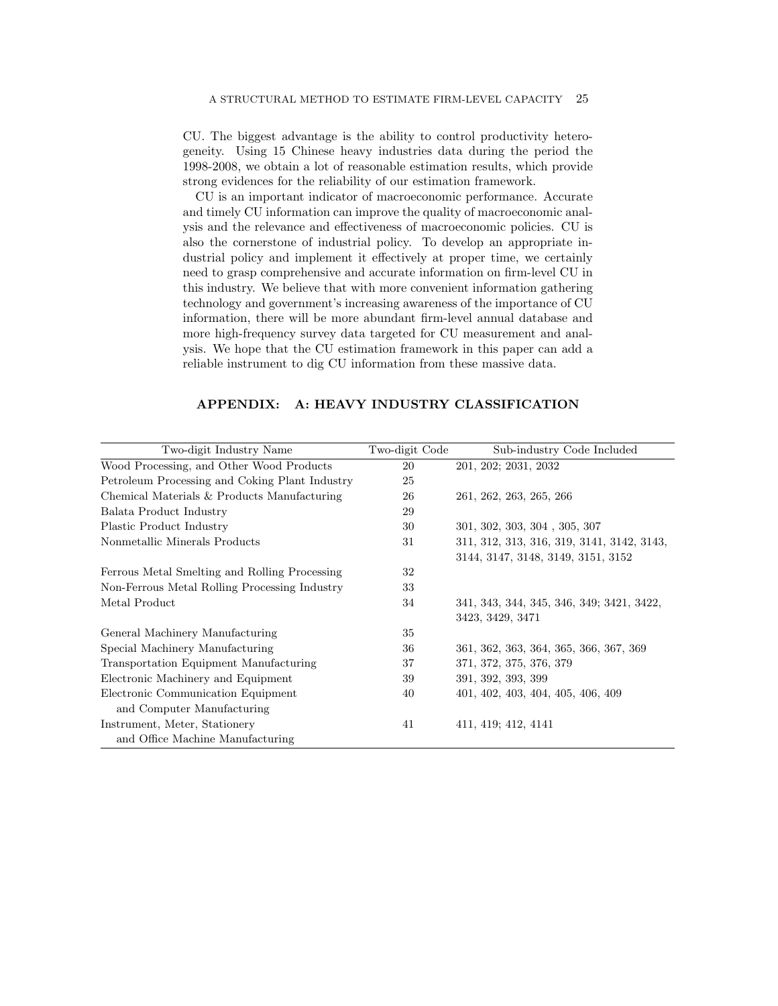CU. The biggest advantage is the ability to control productivity heterogeneity. Using 15 Chinese heavy industries data during the period the 1998-2008, we obtain a lot of reasonable estimation results, which provide strong evidences for the reliability of our estimation framework.

CU is an important indicator of macroeconomic performance. Accurate and timely CU information can improve the quality of macroeconomic analysis and the relevance and effectiveness of macroeconomic policies. CU is also the cornerstone of industrial policy. To develop an appropriate industrial policy and implement it effectively at proper time, we certainly need to grasp comprehensive and accurate information on firm-level CU in this industry. We believe that with more convenient information gathering technology and government's increasing awareness of the importance of CU information, there will be more abundant firm-level annual database and more high-frequency survey data targeted for CU measurement and analysis. We hope that the CU estimation framework in this paper can add a reliable instrument to dig CU information from these massive data.

# APPENDIX: A: HEAVY INDUSTRY CLASSIFICATION

| Two-digit Industry Name                        | Two-digit Code | Sub-industry Code Included                 |
|------------------------------------------------|----------------|--------------------------------------------|
| Wood Processing, and Other Wood Products       | 20             | 201, 202; 2031, 2032                       |
| Petroleum Processing and Coking Plant Industry | 25             |                                            |
| Chemical Materials & Products Manufacturing    | 26             | 261, 262, 263, 265, 266                    |
| Balata Product Industry                        | 29             |                                            |
| Plastic Product Industry                       | 30             | 301, 302, 303, 304, 305, 307               |
| Nonmetallic Minerals Products                  | 31             | 311, 312, 313, 316, 319, 3141, 3142, 3143, |
|                                                |                | 3144, 3147, 3148, 3149, 3151, 3152         |
| Ferrous Metal Smelting and Rolling Processing  | 32             |                                            |
| Non-Ferrous Metal Rolling Processing Industry  | 33             |                                            |
| Metal Product                                  | 34             | 341, 343, 344, 345, 346, 349; 3421, 3422,  |
|                                                |                | 3423, 3429, 3471                           |
| General Machinery Manufacturing                | 35             |                                            |
| Special Machinery Manufacturing                | 36             | 361, 362, 363, 364, 365, 366, 367, 369     |
| Transportation Equipment Manufacturing         | 37             | 371, 372, 375, 376, 379                    |
| Electronic Machinery and Equipment             | 39             | 391, 392, 393, 399                         |
| Electronic Communication Equipment             | 40             | 401, 402, 403, 404, 405, 406, 409          |
| and Computer Manufacturing                     |                |                                            |
| Instrument, Meter, Stationery                  | 41             | 411, 419; 412, 4141                        |
| and Office Machine Manufacturing               |                |                                            |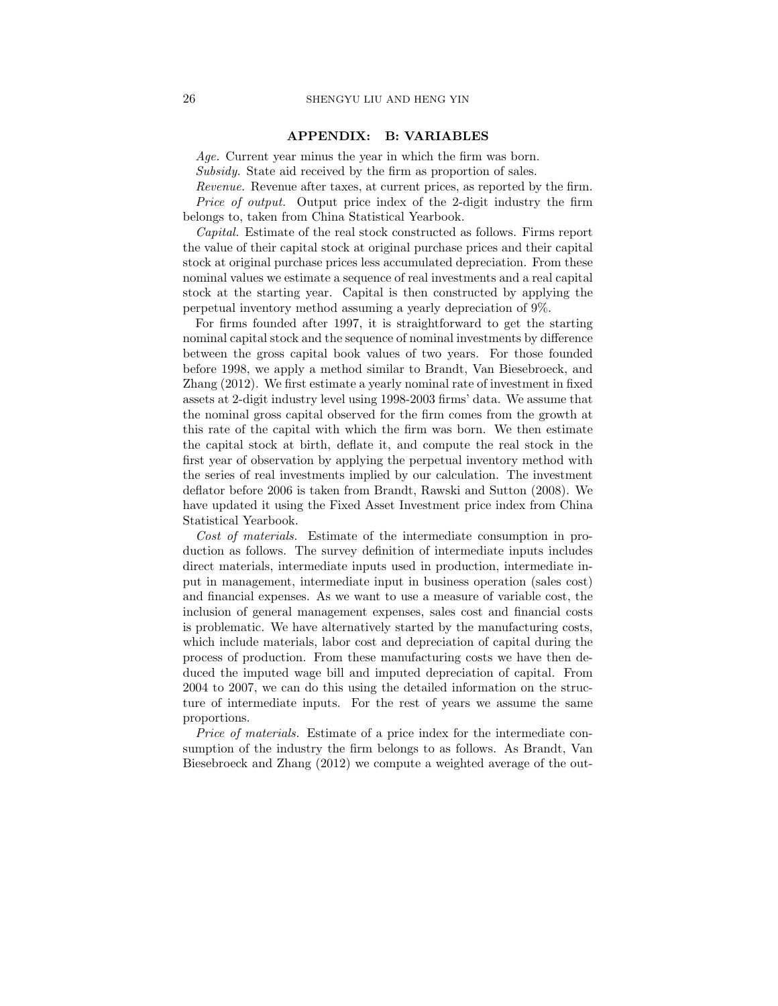### APPENDIX: B: VARIABLES

Age. Current year minus the year in which the firm was born.

Subsidy. State aid received by the firm as proportion of sales.

Revenue. Revenue after taxes, at current prices, as reported by the firm. Price of output. Output price index of the 2-digit industry the firm belongs to, taken from China Statistical Yearbook.

Capital. Estimate of the real stock constructed as follows. Firms report the value of their capital stock at original purchase prices and their capital stock at original purchase prices less accumulated depreciation. From these nominal values we estimate a sequence of real investments and a real capital stock at the starting year. Capital is then constructed by applying the perpetual inventory method assuming a yearly depreciation of 9%.

For firms founded after 1997, it is straightforward to get the starting nominal capital stock and the sequence of nominal investments by difference between the gross capital book values of two years. For those founded before 1998, we apply a method similar to Brandt, Van Biesebroeck, and Zhang (2012). We first estimate a yearly nominal rate of investment in fixed assets at 2-digit industry level using 1998-2003 firms' data. We assume that the nominal gross capital observed for the firm comes from the growth at this rate of the capital with which the firm was born. We then estimate the capital stock at birth, deflate it, and compute the real stock in the first year of observation by applying the perpetual inventory method with the series of real investments implied by our calculation. The investment deflator before 2006 is taken from Brandt, Rawski and Sutton (2008). We have updated it using the Fixed Asset Investment price index from China Statistical Yearbook.

Cost of materials. Estimate of the intermediate consumption in production as follows. The survey definition of intermediate inputs includes direct materials, intermediate inputs used in production, intermediate input in management, intermediate input in business operation (sales cost) and financial expenses. As we want to use a measure of variable cost, the inclusion of general management expenses, sales cost and financial costs is problematic. We have alternatively started by the manufacturing costs, which include materials, labor cost and depreciation of capital during the process of production. From these manufacturing costs we have then deduced the imputed wage bill and imputed depreciation of capital. From 2004 to 2007, we can do this using the detailed information on the structure of intermediate inputs. For the rest of years we assume the same proportions.

Price of materials. Estimate of a price index for the intermediate consumption of the industry the firm belongs to as follows. As Brandt, Van Biesebroeck and Zhang (2012) we compute a weighted average of the out-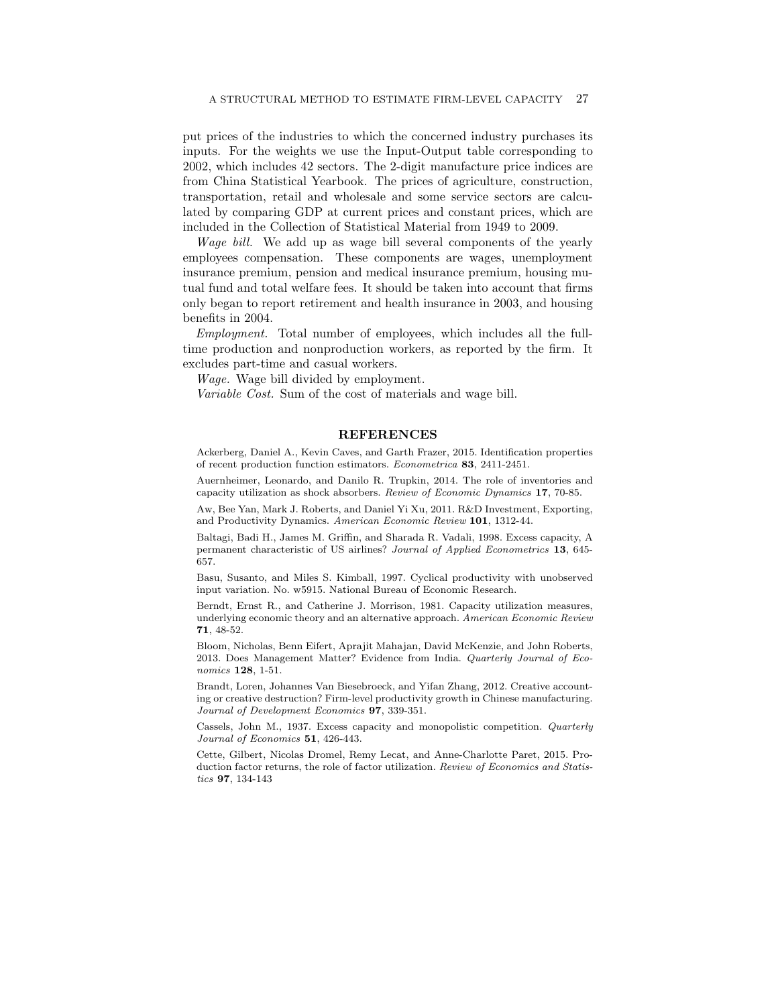put prices of the industries to which the concerned industry purchases its inputs. For the weights we use the Input-Output table corresponding to 2002, which includes 42 sectors. The 2-digit manufacture price indices are from China Statistical Yearbook. The prices of agriculture, construction, transportation, retail and wholesale and some service sectors are calculated by comparing GDP at current prices and constant prices, which are included in the Collection of Statistical Material from 1949 to 2009.

Wage bill. We add up as wage bill several components of the yearly employees compensation. These components are wages, unemployment insurance premium, pension and medical insurance premium, housing mutual fund and total welfare fees. It should be taken into account that firms only began to report retirement and health insurance in 2003, and housing benefits in 2004.

Employment. Total number of employees, which includes all the fulltime production and nonproduction workers, as reported by the firm. It excludes part-time and casual workers.

Wage. Wage bill divided by employment.

Variable Cost. Sum of the cost of materials and wage bill.

### REFERENCES

Ackerberg, Daniel A., Kevin Caves, and Garth Frazer, 2015. Identification properties of recent production function estimators. Econometrica 83, 2411-2451.

Auernheimer, Leonardo, and Danilo R. Trupkin, 2014. The role of inventories and capacity utilization as shock absorbers. Review of Economic Dynamics 17, 70-85.

Aw, Bee Yan, Mark J. Roberts, and Daniel Yi Xu, 2011. R&D Investment, Exporting, and Productivity Dynamics. American Economic Review 101, 1312-44.

Baltagi, Badi H., James M. Griffin, and Sharada R. Vadali, 1998. Excess capacity, A permanent characteristic of US airlines? Journal of Applied Econometrics 13, 645-657.

Basu, Susanto, and Miles S. Kimball, 1997. Cyclical productivity with unobserved input variation. No. w5915. National Bureau of Economic Research.

Berndt, Ernst R., and Catherine J. Morrison, 1981. Capacity utilization measures, underlying economic theory and an alternative approach. American Economic Review 71, 48-52.

Bloom, Nicholas, Benn Eifert, Aprajit Mahajan, David McKenzie, and John Roberts, 2013. Does Management Matter? Evidence from India. Quarterly Journal of Economics **128**, 1-51.

Brandt, Loren, Johannes Van Biesebroeck, and Yifan Zhang, 2012. Creative accounting or creative destruction? Firm-level productivity growth in Chinese manufacturing. Journal of Development Economics 97, 339-351.

Cassels, John M., 1937. Excess capacity and monopolistic competition. Quarterly Journal of Economics 51, 426-443.

Cette, Gilbert, Nicolas Dromel, Remy Lecat, and Anne-Charlotte Paret, 2015. Production factor returns, the role of factor utilization. Review of Economics and Statistics 97, 134-143